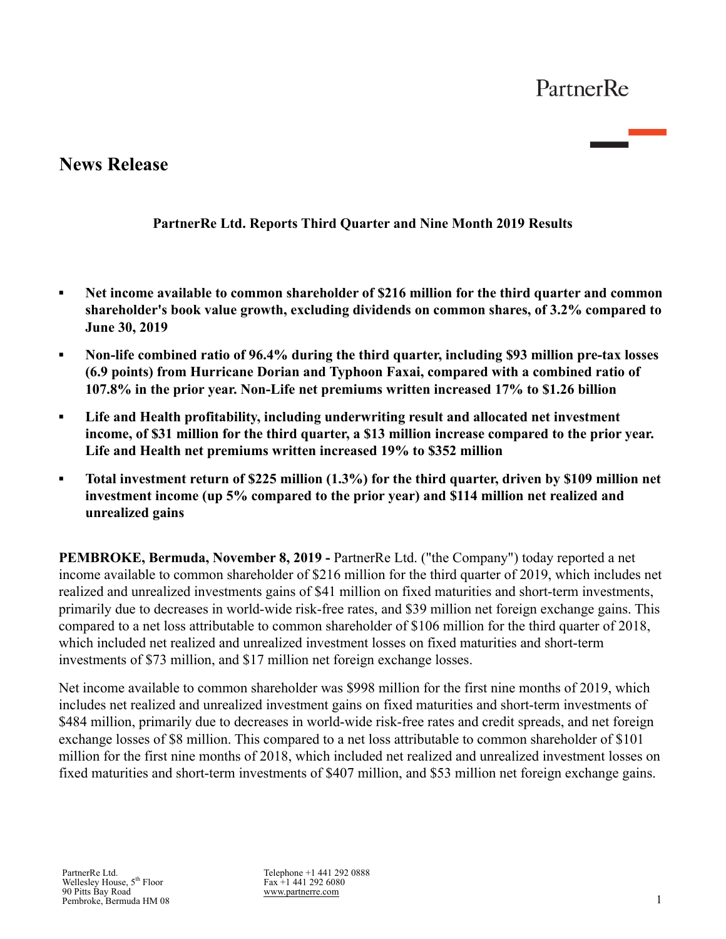# **News Release**

## **PartnerRe Ltd. Reports Third Quarter and Nine Month 2019 Results**

- **▪ Net income available to common shareholder of \$216 million for the third quarter and common shareholder's book value growth, excluding dividends on common shares, of 3.2% compared to June 30, 2019**
- **▪ Non-life combined ratio of 96.4% during the third quarter, including \$93 million pre-tax losses (6.9 points) from Hurricane Dorian and Typhoon Faxai, compared with a combined ratio of 107.8% in the prior year. Non-Life net premiums written increased 17% to \$1.26 billion**
- **▪ Life and Health profitability, including underwriting result and allocated net investment income, of \$31 million for the third quarter, a \$13 million increase compared to the prior year. Life and Health net premiums written increased 19% to \$352 million**
- **▪ Total investment return of \$225 million (1.3%) for the third quarter, driven by \$109 million net investment income (up 5% compared to the prior year) and \$114 million net realized and unrealized gains**

**PEMBROKE, Bermuda, November 8, 2019 -** PartnerRe Ltd. ("the Company") today reported a net income available to common shareholder of \$216 million for the third quarter of 2019, which includes net realized and unrealized investments gains of \$41 million on fixed maturities and short-term investments, primarily due to decreases in world-wide risk-free rates, and \$39 million net foreign exchange gains. This compared to a net loss attributable to common shareholder of \$106 million for the third quarter of 2018, which included net realized and unrealized investment losses on fixed maturities and short-term investments of \$73 million, and \$17 million net foreign exchange losses.

Net income available to common shareholder was \$998 million for the first nine months of 2019, which includes net realized and unrealized investment gains on fixed maturities and short-term investments of \$484 million, primarily due to decreases in world-wide risk-free rates and credit spreads, and net foreign exchange losses of \$8 million. This compared to a net loss attributable to common shareholder of \$101 million for the first nine months of 2018, which included net realized and unrealized investment losses on fixed maturities and short-term investments of \$407 million, and \$53 million net foreign exchange gains.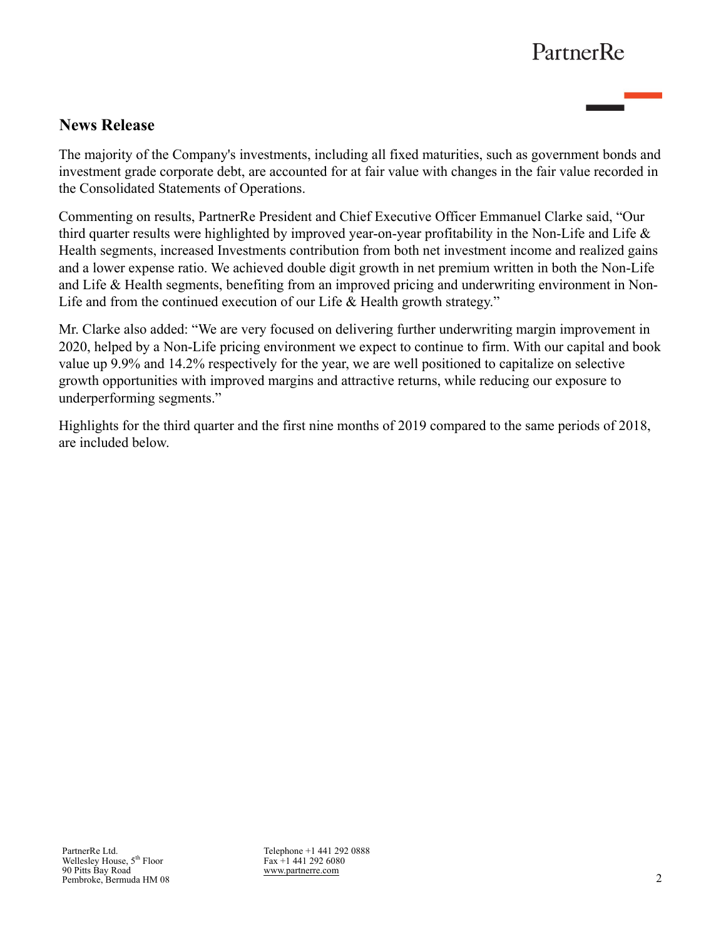# **News Release**

The majority of the Company's investments, including all fixed maturities, such as government bonds and investment grade corporate debt, are accounted for at fair value with changes in the fair value recorded in the Consolidated Statements of Operations.

Commenting on results, PartnerRe President and Chief Executive Officer Emmanuel Clarke said, "Our third quarter results were highlighted by improved year-on-year profitability in the Non-Life and Life  $\&$ Health segments, increased Investments contribution from both net investment income and realized gains and a lower expense ratio. We achieved double digit growth in net premium written in both the Non-Life and Life & Health segments, benefiting from an improved pricing and underwriting environment in Non-Life and from the continued execution of our Life & Health growth strategy."

Mr. Clarke also added: "We are very focused on delivering further underwriting margin improvement in 2020, helped by a Non-Life pricing environment we expect to continue to firm. With our capital and book value up 9.9% and 14.2% respectively for the year, we are well positioned to capitalize on selective growth opportunities with improved margins and attractive returns, while reducing our exposure to underperforming segments."

Highlights for the third quarter and the first nine months of 2019 compared to the same periods of 2018, are included below.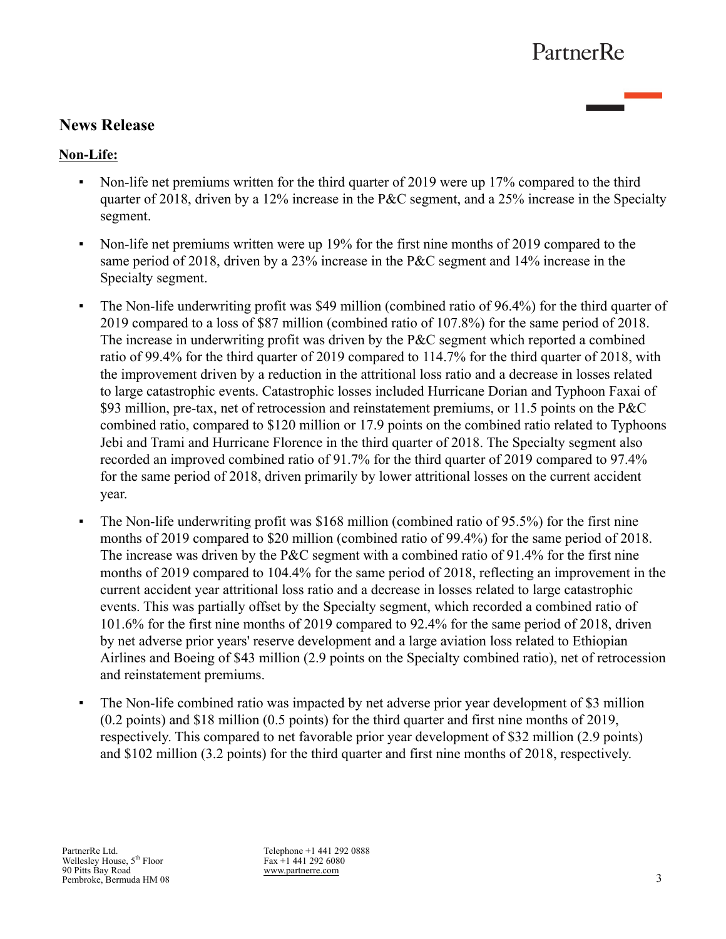## **News Release**

## **Non-Life:**

- Non-life net premiums written for the third quarter of 2019 were up 17% compared to the third quarter of 2018, driven by a 12% increase in the P&C segment, and a 25% increase in the Specialty segment.
- Non-life net premiums written were up 19% for the first nine months of 2019 compared to the same period of 2018, driven by a 23% increase in the P&C segment and 14% increase in the Specialty segment.
- The Non-life underwriting profit was \$49 million (combined ratio of 96.4%) for the third quarter of 2019 compared to a loss of \$87 million (combined ratio of 107.8%) for the same period of 2018. The increase in underwriting profit was driven by the P&C segment which reported a combined ratio of 99.4% for the third quarter of 2019 compared to 114.7% for the third quarter of 2018, with the improvement driven by a reduction in the attritional loss ratio and a decrease in losses related to large catastrophic events. Catastrophic losses included Hurricane Dorian and Typhoon Faxai of \$93 million, pre-tax, net of retrocession and reinstatement premiums, or 11.5 points on the P&C combined ratio, compared to \$120 million or 17.9 points on the combined ratio related to Typhoons Jebi and Trami and Hurricane Florence in the third quarter of 2018. The Specialty segment also recorded an improved combined ratio of 91.7% for the third quarter of 2019 compared to 97.4% for the same period of 2018, driven primarily by lower attritional losses on the current accident year.
- The Non-life underwriting profit was \$168 million (combined ratio of 95.5%) for the first nine months of 2019 compared to \$20 million (combined ratio of 99.4%) for the same period of 2018. The increase was driven by the P&C segment with a combined ratio of 91.4% for the first nine months of 2019 compared to 104.4% for the same period of 2018, reflecting an improvement in the current accident year attritional loss ratio and a decrease in losses related to large catastrophic events. This was partially offset by the Specialty segment, which recorded a combined ratio of 101.6% for the first nine months of 2019 compared to 92.4% for the same period of 2018, driven by net adverse prior years' reserve development and a large aviation loss related to Ethiopian Airlines and Boeing of \$43 million (2.9 points on the Specialty combined ratio), net of retrocession and reinstatement premiums.
- The Non-life combined ratio was impacted by net adverse prior year development of \$3 million (0.2 points) and \$18 million (0.5 points) for the third quarter and first nine months of 2019, respectively. This compared to net favorable prior year development of \$32 million (2.9 points) and \$102 million (3.2 points) for the third quarter and first nine months of 2018, respectively.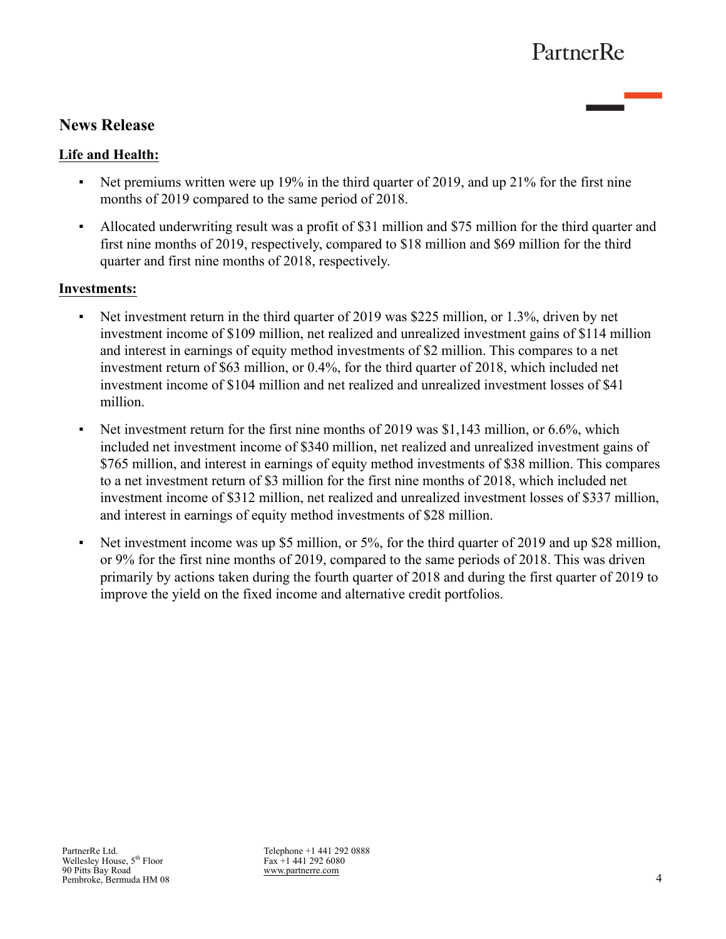# **News Release**

## **Life and Health:**

- Net premiums written were up 19% in the third quarter of 2019, and up 21% for the first nine months of 2019 compared to the same period of 2018.
- Allocated underwriting result was a profit of \$31 million and \$75 million for the third quarter and first nine months of 2019, respectively, compared to \$18 million and \$69 million for the third quarter and first nine months of 2018, respectively.

## **Investments:**

- Net investment return in the third quarter of 2019 was \$225 million, or 1.3%, driven by net investment income of \$109 million, net realized and unrealized investment gains of \$114 million and interest in earnings of equity method investments of \$2 million. This compares to a net investment return of \$63 million, or 0.4%, for the third quarter of 2018, which included net investment income of \$104 million and net realized and unrealized investment losses of \$41 million.
- Net investment return for the first nine months of 2019 was  $$1,143$  million, or 6.6%, which included net investment income of \$340 million, net realized and unrealized investment gains of \$765 million, and interest in earnings of equity method investments of \$38 million. This compares to a net investment return of \$3 million for the first nine months of 2018, which included net investment income of \$312 million, net realized and unrealized investment losses of \$337 million, and interest in earnings of equity method investments of \$28 million.
- Net investment income was up \$5 million, or 5%, for the third quarter of 2019 and up \$28 million, or 9% for the first nine months of 2019, compared to the same periods of 2018. This was driven primarily by actions taken during the fourth quarter of 2018 and during the first quarter of 2019 to improve the yield on the fixed income and alternative credit portfolios.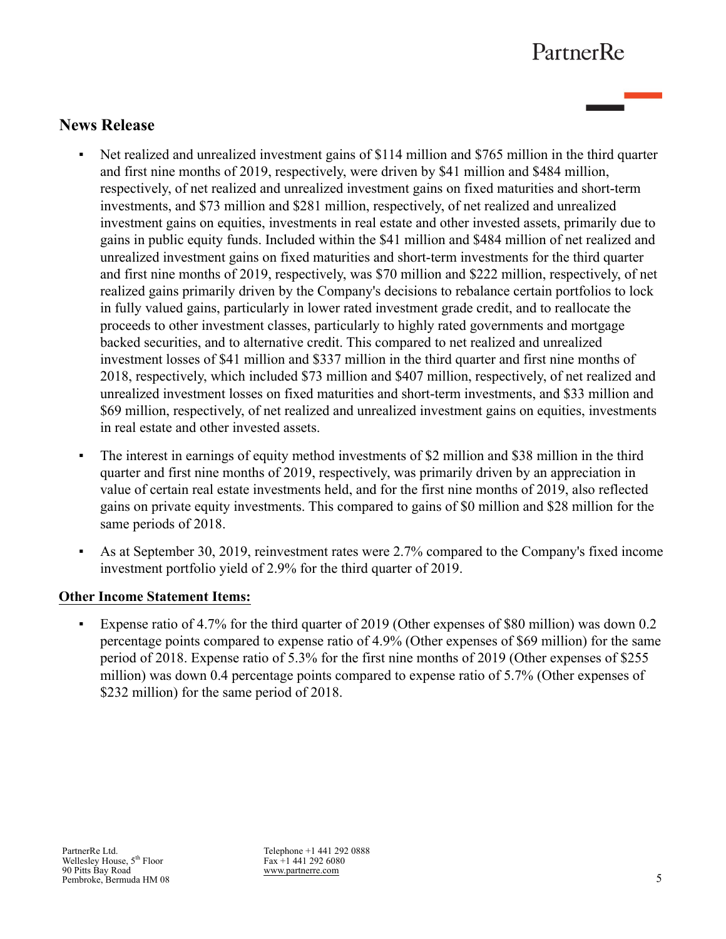# **News Release**

- Net realized and unrealized investment gains of \$114 million and \$765 million in the third quarter and first nine months of 2019, respectively, were driven by \$41 million and \$484 million, respectively, of net realized and unrealized investment gains on fixed maturities and short-term investments, and \$73 million and \$281 million, respectively, of net realized and unrealized investment gains on equities, investments in real estate and other invested assets, primarily due to gains in public equity funds. Included within the \$41 million and \$484 million of net realized and unrealized investment gains on fixed maturities and short-term investments for the third quarter and first nine months of 2019, respectively, was \$70 million and \$222 million, respectively, of net realized gains primarily driven by the Company's decisions to rebalance certain portfolios to lock in fully valued gains, particularly in lower rated investment grade credit, and to reallocate the proceeds to other investment classes, particularly to highly rated governments and mortgage backed securities, and to alternative credit. This compared to net realized and unrealized investment losses of \$41 million and \$337 million in the third quarter and first nine months of 2018, respectively, which included \$73 million and \$407 million, respectively, of net realized and unrealized investment losses on fixed maturities and short-term investments, and \$33 million and \$69 million, respectively, of net realized and unrealized investment gains on equities, investments in real estate and other invested assets.
- The interest in earnings of equity method investments of \$2 million and \$38 million in the third quarter and first nine months of 2019, respectively, was primarily driven by an appreciation in value of certain real estate investments held, and for the first nine months of 2019, also reflected gains on private equity investments. This compared to gains of \$0 million and \$28 million for the same periods of 2018.
- As at September 30, 2019, reinvestment rates were 2.7% compared to the Company's fixed income investment portfolio yield of 2.9% for the third quarter of 2019.

## **Other Income Statement Items:**

▪ Expense ratio of 4.7% for the third quarter of 2019 (Other expenses of \$80 million) was down 0.2 percentage points compared to expense ratio of 4.9% (Other expenses of \$69 million) for the same period of 2018. Expense ratio of 5.3% for the first nine months of 2019 (Other expenses of \$255 million) was down 0.4 percentage points compared to expense ratio of 5.7% (Other expenses of \$232 million) for the same period of 2018.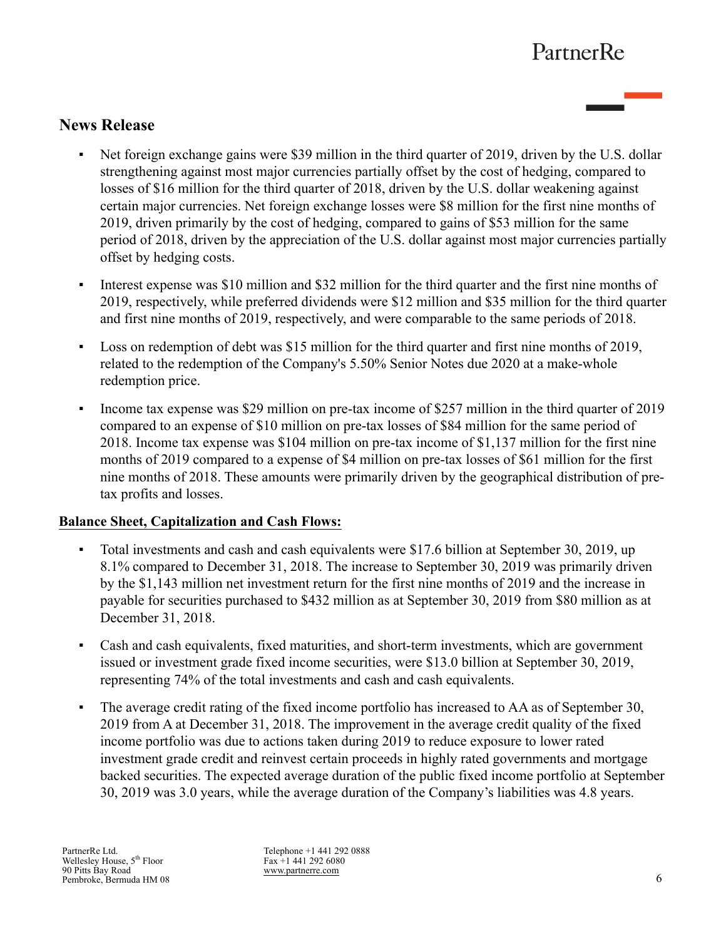# **News Release**

- Net foreign exchange gains were \$39 million in the third quarter of 2019, driven by the U.S. dollar strengthening against most major currencies partially offset by the cost of hedging, compared to losses of \$16 million for the third quarter of 2018, driven by the U.S. dollar weakening against certain major currencies. Net foreign exchange losses were \$8 million for the first nine months of 2019, driven primarily by the cost of hedging, compared to gains of \$53 million for the same period of 2018, driven by the appreciation of the U.S. dollar against most major currencies partially offset by hedging costs.
- Interest expense was \$10 million and \$32 million for the third quarter and the first nine months of 2019, respectively, while preferred dividends were \$12 million and \$35 million for the third quarter and first nine months of 2019, respectively, and were comparable to the same periods of 2018.
- Loss on redemption of debt was \$15 million for the third quarter and first nine months of 2019, related to the redemption of the Company's 5.50% Senior Notes due 2020 at a make-whole redemption price.
- Income tax expense was \$29 million on pre-tax income of \$257 million in the third quarter of 2019 compared to an expense of \$10 million on pre-tax losses of \$84 million for the same period of 2018. Income tax expense was \$104 million on pre-tax income of \$1,137 million for the first nine months of 2019 compared to a expense of \$4 million on pre-tax losses of \$61 million for the first nine months of 2018. These amounts were primarily driven by the geographical distribution of pretax profits and losses.

## **Balance Sheet, Capitalization and Cash Flows:**

- Total investments and cash and cash equivalents were \$17.6 billion at September 30, 2019, up 8.1% compared to December 31, 2018. The increase to September 30, 2019 was primarily driven by the \$1,143 million net investment return for the first nine months of 2019 and the increase in payable for securities purchased to \$432 million as at September 30, 2019 from \$80 million as at December 31, 2018.
- Cash and cash equivalents, fixed maturities, and short-term investments, which are government issued or investment grade fixed income securities, were \$13.0 billion at September 30, 2019, representing 74% of the total investments and cash and cash equivalents.
- The average credit rating of the fixed income portfolio has increased to AA as of September 30, 2019 from A at December 31, 2018. The improvement in the average credit quality of the fixed income portfolio was due to actions taken during 2019 to reduce exposure to lower rated investment grade credit and reinvest certain proceeds in highly rated governments and mortgage backed securities. The expected average duration of the public fixed income portfolio at September 30, 2019 was 3.0 years, while the average duration of the Company's liabilities was 4.8 years.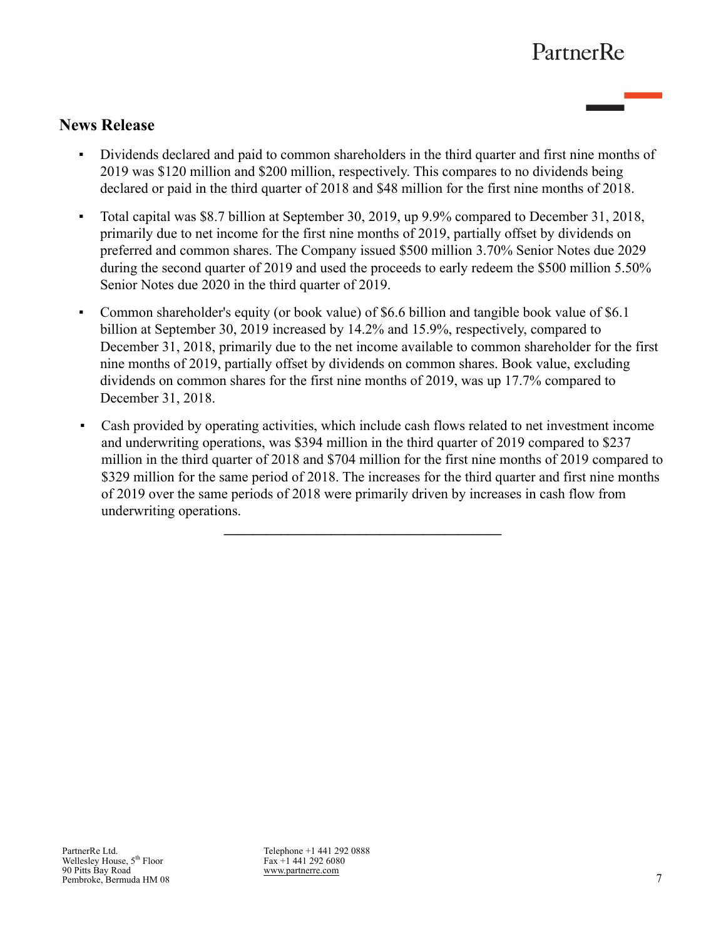## **News Release**

- Dividends declared and paid to common shareholders in the third quarter and first nine months of 2019 was \$120 million and \$200 million, respectively. This compares to no dividends being declared or paid in the third quarter of 2018 and \$48 million for the first nine months of 2018.
- Total capital was \$8.7 billion at September 30, 2019, up 9.9% compared to December 31, 2018, primarily due to net income for the first nine months of 2019, partially offset by dividends on preferred and common shares. The Company issued \$500 million 3.70% Senior Notes due 2029 during the second quarter of 2019 and used the proceeds to early redeem the \$500 million 5.50% Senior Notes due 2020 in the third quarter of 2019.
- Common shareholder's equity (or book value) of \$6.6 billion and tangible book value of \$6.1 billion at September 30, 2019 increased by 14.2% and 15.9%, respectively, compared to December 31, 2018, primarily due to the net income available to common shareholder for the first nine months of 2019, partially offset by dividends on common shares. Book value, excluding dividends on common shares for the first nine months of 2019, was up 17.7% compared to December 31, 2018.
- Cash provided by operating activities, which include cash flows related to net investment income and underwriting operations, was \$394 million in the third quarter of 2019 compared to \$237 million in the third quarter of 2018 and \$704 million for the first nine months of 2019 compared to \$329 million for the same period of 2018. The increases for the third quarter and first nine months of 2019 over the same periods of 2018 were primarily driven by increases in cash flow from underwriting operations.

**\_\_\_\_\_\_\_\_\_\_\_\_\_\_\_\_\_\_\_\_\_\_\_\_\_\_\_\_\_\_\_\_\_\_\_\_\_\_\_**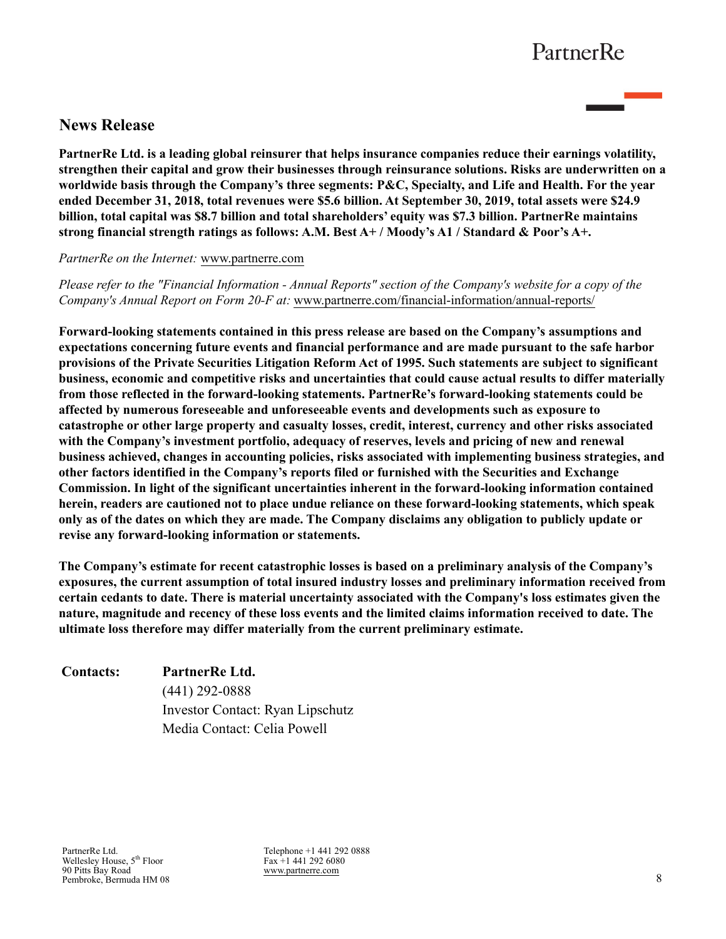## **News Release**

**PartnerRe Ltd. is a leading global reinsurer that helps insurance companies reduce their earnings volatility, strengthen their capital and grow their businesses through reinsurance solutions. Risks are underwritten on a worldwide basis through the Company's three segments: P&C, Specialty, and Life and Health. For the year ended December 31, 2018, total revenues were \$5.6 billion. At September 30, 2019, total assets were \$24.9 billion, total capital was \$8.7 billion and total shareholders' equity was \$7.3 billion. PartnerRe maintains strong financial strength ratings as follows: A.M. Best A+ / Moody's A1 / Standard & Poor's A+.** 

*PartnerRe on the Internet:* [www.partnerre.com](http://www.partnerre.com)

*Please refer to the "Financial Information - Annual Reports" section of the Company's website for a copy of the Company's Annual Report on Form 20-F at:* [www.partnerre.com/financial-information/annual-reports/](http://www.partnerre.com/financial-information/annual-reports/)

**Forward-looking statements contained in this press release are based on the Company's assumptions and expectations concerning future events and financial performance and are made pursuant to the safe harbor provisions of the Private Securities Litigation Reform Act of 1995. Such statements are subject to significant business, economic and competitive risks and uncertainties that could cause actual results to differ materially from those reflected in the forward-looking statements. PartnerRe's forward-looking statements could be affected by numerous foreseeable and unforeseeable events and developments such as exposure to catastrophe or other large property and casualty losses, credit, interest, currency and other risks associated with the Company's investment portfolio, adequacy of reserves, levels and pricing of new and renewal business achieved, changes in accounting policies, risks associated with implementing business strategies, and other factors identified in the Company's reports filed or furnished with the Securities and Exchange Commission. In light of the significant uncertainties inherent in the forward-looking information contained herein, readers are cautioned not to place undue reliance on these forward-looking statements, which speak only as of the dates on which they are made. The Company disclaims any obligation to publicly update or revise any forward-looking information or statements.** 

**The Company's estimate for recent catastrophic losses is based on a preliminary analysis of the Company's exposures, the current assumption of total insured industry losses and preliminary information received from certain cedants to date. There is material uncertainty associated with the Company's loss estimates given the nature, magnitude and recency of these loss events and the limited claims information received to date. The ultimate loss therefore may differ materially from the current preliminary estimate.**

| <b>Contacts:</b> | PartnerRe Ltd.                   |
|------------------|----------------------------------|
|                  | $(441)$ 292-0888                 |
|                  | Investor Contact: Ryan Lipschutz |
|                  | Media Contact: Celia Powell      |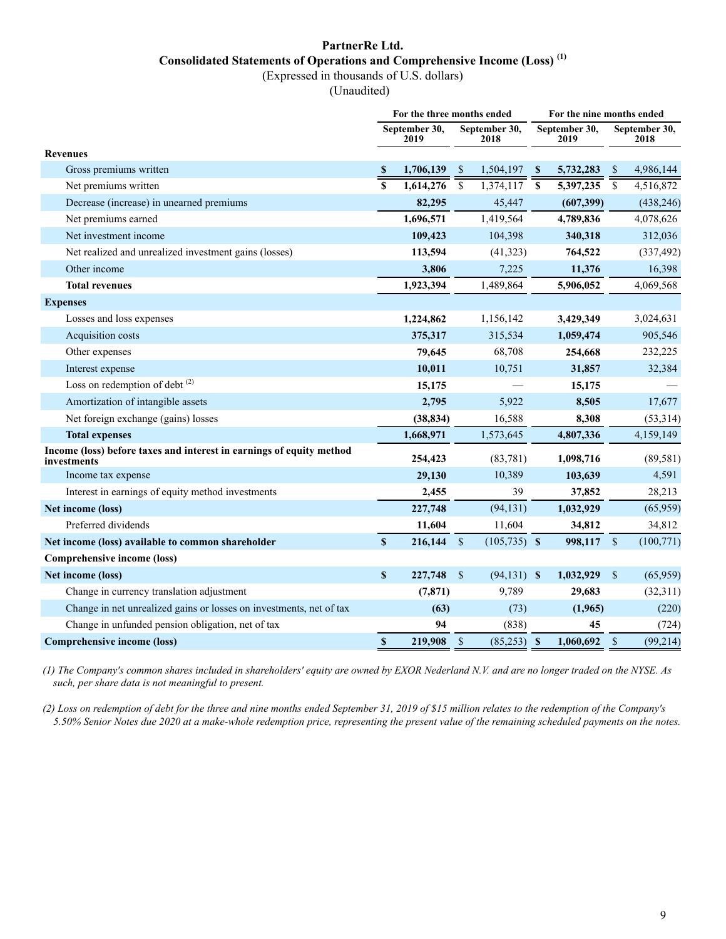## **PartnerRe Ltd. Consolidated Statements of Operations and Comprehensive Income (Loss) (1)**

(Expressed in thousands of U.S. dollars)

(Unaudited)

|                                                                                     | For the three months ended |                       |               |                       |                           |            | For the nine months ended |                       |  |  |  |
|-------------------------------------------------------------------------------------|----------------------------|-----------------------|---------------|-----------------------|---------------------------|------------|---------------------------|-----------------------|--|--|--|
|                                                                                     |                            | September 30,<br>2019 |               | September 30,<br>2018 | September 30,<br>2019     |            |                           | September 30,<br>2018 |  |  |  |
| <b>Revenues</b>                                                                     |                            |                       |               |                       |                           |            |                           |                       |  |  |  |
| Gross premiums written                                                              | $\mathbf{s}$               | 1,706,139             | $\mathbb{S}$  | 1,504,197             | -S                        | 5,732,283  | -S                        | 4,986,144             |  |  |  |
| Net premiums written                                                                | \$                         | 1,614,276             | $\mathbb{S}$  | 1,374,117             | $\boldsymbol{\mathsf{s}}$ | 5,397,235  | $\overline{\$}$           | 4,516,872             |  |  |  |
| Decrease (increase) in unearned premiums                                            |                            | 82,295                |               | 45,447                |                           | (607, 399) |                           | (438, 246)            |  |  |  |
| Net premiums earned                                                                 |                            | 1,696,571             |               | 1,419,564             |                           | 4,789,836  |                           | 4,078,626             |  |  |  |
| Net investment income                                                               |                            | 109,423               |               | 104,398               |                           | 340,318    |                           | 312,036               |  |  |  |
| Net realized and unrealized investment gains (losses)                               |                            | 113,594               |               | (41,323)              |                           | 764,522    |                           | (337, 492)            |  |  |  |
| Other income                                                                        |                            | 3,806                 |               | 7,225                 |                           | 11,376     |                           | 16,398                |  |  |  |
| <b>Total revenues</b>                                                               |                            | 1,923,394             |               | 1,489,864             |                           | 5,906,052  |                           | 4,069,568             |  |  |  |
| <b>Expenses</b>                                                                     |                            |                       |               |                       |                           |            |                           |                       |  |  |  |
| Losses and loss expenses                                                            |                            | 1,224,862             |               | 1,156,142             |                           | 3,429,349  |                           | 3,024,631             |  |  |  |
| Acquisition costs                                                                   |                            | 375,317               |               | 315,534               |                           | 1,059,474  |                           | 905,546               |  |  |  |
| Other expenses                                                                      |                            | 79,645                |               | 68,708                |                           | 254,668    |                           | 232,225               |  |  |  |
| Interest expense                                                                    |                            | 10,011                |               | 10,751                |                           | 31,857     |                           | 32,384                |  |  |  |
| Loss on redemption of debt <sup>(2)</sup>                                           |                            | 15,175                |               |                       |                           | 15,175     |                           |                       |  |  |  |
| Amortization of intangible assets                                                   |                            | 2,795                 |               | 5,922                 |                           | 8,505      |                           | 17,677                |  |  |  |
| Net foreign exchange (gains) losses                                                 |                            | (38, 834)             |               | 16,588                |                           | 8,308      |                           | (53,314)              |  |  |  |
| <b>Total expenses</b>                                                               |                            | 1,668,971             |               | 1,573,645             |                           | 4,807,336  |                           | 4,159,149             |  |  |  |
| Income (loss) before taxes and interest in earnings of equity method<br>investments |                            | 254,423               |               | (83,781)              |                           | 1,098,716  |                           | (89, 581)             |  |  |  |
| Income tax expense                                                                  |                            | 29,130                |               | 10,389                |                           | 103,639    |                           | 4,591                 |  |  |  |
| Interest in earnings of equity method investments                                   |                            | 2,455                 |               | 39                    |                           | 37,852     |                           | 28,213                |  |  |  |
| Net income (loss)                                                                   |                            | 227,748               |               | (94, 131)             |                           | 1,032,929  |                           | (65, 959)             |  |  |  |
| Preferred dividends                                                                 |                            | 11,604                |               | 11,604                |                           | 34,812     |                           | 34,812                |  |  |  |
| Net income (loss) available to common shareholder                                   | $\boldsymbol{\mathsf{S}}$  | 216,144               | $\mathcal{S}$ | $(105, 735)$ \$       |                           | 998,117    | $\mathcal{S}$             | (100, 771)            |  |  |  |
| Comprehensive income (loss)                                                         |                            |                       |               |                       |                           |            |                           |                       |  |  |  |
| Net income (loss)                                                                   | \$                         | 227,748               | $\mathcal{S}$ | $(94,131)$ \$         |                           | 1,032,929  | $\mathbb{S}$              | (65,959)              |  |  |  |
| Change in currency translation adjustment                                           |                            | (7, 871)              |               | 9,789                 |                           | 29,683     |                           | (32, 311)             |  |  |  |
| Change in net unrealized gains or losses on investments, net of tax                 |                            | (63)                  |               | (73)                  |                           | (1,965)    |                           | (220)                 |  |  |  |
| Change in unfunded pension obligation, net of tax                                   | 94                         |                       | (838)         |                       |                           | 45         |                           | (724)                 |  |  |  |
| <b>Comprehensive income (loss)</b>                                                  | $\boldsymbol{\mathsf{S}}$  | 219,908               | $\mathcal{S}$ | $(85,253)$ \$         |                           | 1,060,692  | $\sqrt{\ }$               | (99, 214)             |  |  |  |

*(1) The Company's common shares included in shareholders' equity are owned by EXOR Nederland N.V. and are no longer traded on the NYSE. As such, per share data is not meaningful to present.*

*(2) Loss on redemption of debt for the three and nine months ended September 31, 2019 of \$15 million relates to the redemption of the Company's 5.50% Senior Notes due 2020 at a make-whole redemption price, representing the present value of the remaining scheduled payments on the notes.*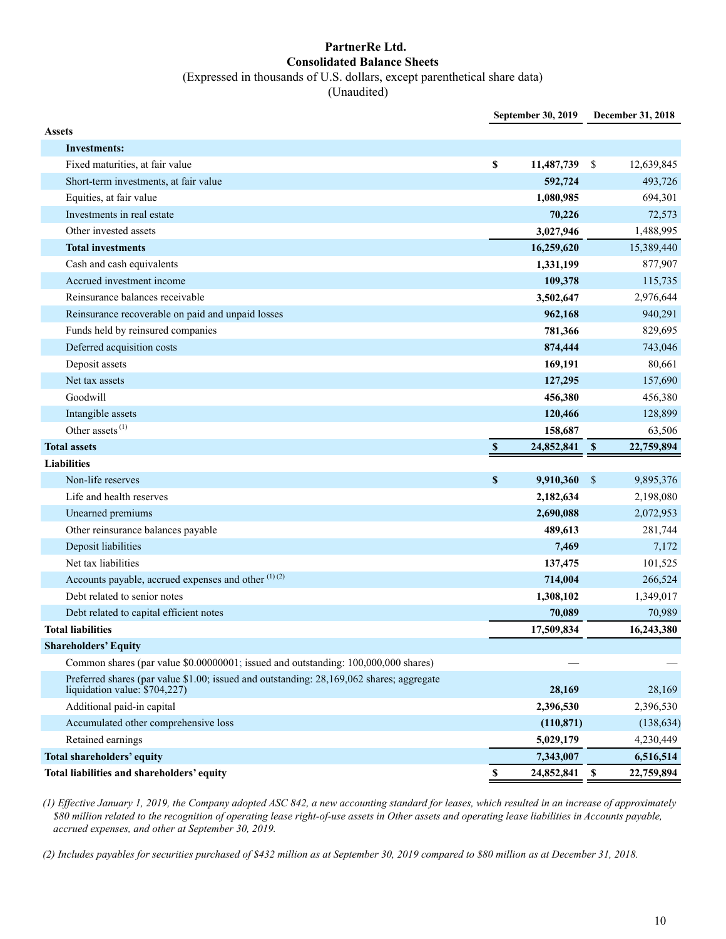### **PartnerRe Ltd. Consolidated Balance Sheets** (Expressed in thousands of U.S. dollars, except parenthetical share data)

(Unaudited)

|                                                                                                                           |                           | September 30, 2019 |               | December 31, 2018 |
|---------------------------------------------------------------------------------------------------------------------------|---------------------------|--------------------|---------------|-------------------|
| <b>Assets</b>                                                                                                             |                           |                    |               |                   |
| <b>Investments:</b>                                                                                                       |                           |                    |               |                   |
| Fixed maturities, at fair value                                                                                           | \$                        | 11,487,739         | \$            | 12,639,845        |
| Short-term investments, at fair value                                                                                     |                           | 592,724            |               | 493,726           |
| Equities, at fair value                                                                                                   |                           | 1,080,985          |               | 694,301           |
| Investments in real estate                                                                                                |                           | 70,226             |               | 72,573            |
| Other invested assets                                                                                                     |                           | 3,027,946          |               | 1,488,995         |
| <b>Total investments</b>                                                                                                  |                           | 16,259,620         |               | 15,389,440        |
| Cash and cash equivalents                                                                                                 |                           | 1,331,199          |               | 877,907           |
| Accrued investment income                                                                                                 |                           | 109,378            |               | 115,735           |
| Reinsurance balances receivable                                                                                           |                           | 3,502,647          |               | 2,976,644         |
| Reinsurance recoverable on paid and unpaid losses                                                                         |                           | 962,168            |               | 940,291           |
| Funds held by reinsured companies                                                                                         |                           | 781,366            |               | 829,695           |
| Deferred acquisition costs                                                                                                |                           | 874,444            |               | 743,046           |
| Deposit assets                                                                                                            |                           | 169,191            |               | 80,661            |
| Net tax assets                                                                                                            |                           | 127,295            |               | 157,690           |
| Goodwill                                                                                                                  |                           | 456,380            |               | 456,380           |
| Intangible assets                                                                                                         |                           | 120,466            |               | 128,899           |
| Other assets $^{(1)}$                                                                                                     |                           | 158,687            |               | 63,506            |
| <b>Total assets</b>                                                                                                       | $\boldsymbol{\mathsf{s}}$ | 24,852,841         | <b>S</b>      | 22,759,894        |
| <b>Liabilities</b>                                                                                                        |                           |                    |               |                   |
| Non-life reserves                                                                                                         | $\pmb{\mathbb{S}}$        | 9,910,360          | $\mathbf{\$}$ | 9,895,376         |
| Life and health reserves                                                                                                  |                           | 2,182,634          |               | 2,198,080         |
| Unearned premiums                                                                                                         |                           | 2,690,088          |               | 2,072,953         |
| Other reinsurance balances payable                                                                                        |                           | 489,613            |               | 281,744           |
| Deposit liabilities                                                                                                       |                           | 7,469              |               | 7,172             |
| Net tax liabilities                                                                                                       |                           | 137,475            |               | 101,525           |
| Accounts payable, accrued expenses and other (1)(2)                                                                       |                           | 714,004            |               | 266,524           |
| Debt related to senior notes                                                                                              |                           | 1,308,102          |               | 1,349,017         |
| Debt related to capital efficient notes                                                                                   |                           | 70.089             |               | 70,989            |
| <b>Total liabilities</b>                                                                                                  |                           | 17,509,834         |               | 16,243,380        |
| <b>Shareholders' Equity</b>                                                                                               |                           |                    |               |                   |
| Common shares (par value \$0.00000001; issued and outstanding: 100,000,000 shares)                                        |                           |                    |               |                   |
| Preferred shares (par value \$1.00; issued and outstanding: 28,169,062 shares; aggregate<br>liquidation value: \$704,227) |                           | 28,169             |               | 28,169            |
| Additional paid-in capital                                                                                                |                           | 2,396,530          |               | 2,396,530         |
| Accumulated other comprehensive loss                                                                                      |                           | (110, 871)         |               | (138, 634)        |
| Retained earnings                                                                                                         |                           | 5,029,179          |               | 4,230,449         |
| <b>Total shareholders' equity</b>                                                                                         |                           | 7,343,007          |               | 6,516,514         |
| Total liabilities and shareholders' equity                                                                                | $\mathbb S$               | 24,852,841         | <b>S</b>      | 22,759,894        |

*(1) Effective January 1, 2019, the Company adopted ASC 842, a new accounting standard for leases, which resulted in an increase of approximately \$80 million related to the recognition of operating lease right-of-use assets in Other assets and operating lease liabilities in Accounts payable, accrued expenses, and other at September 30, 2019.*

*(2) Includes payables for securities purchased of \$432 million as at September 30, 2019 compared to \$80 million as at December 31, 2018.*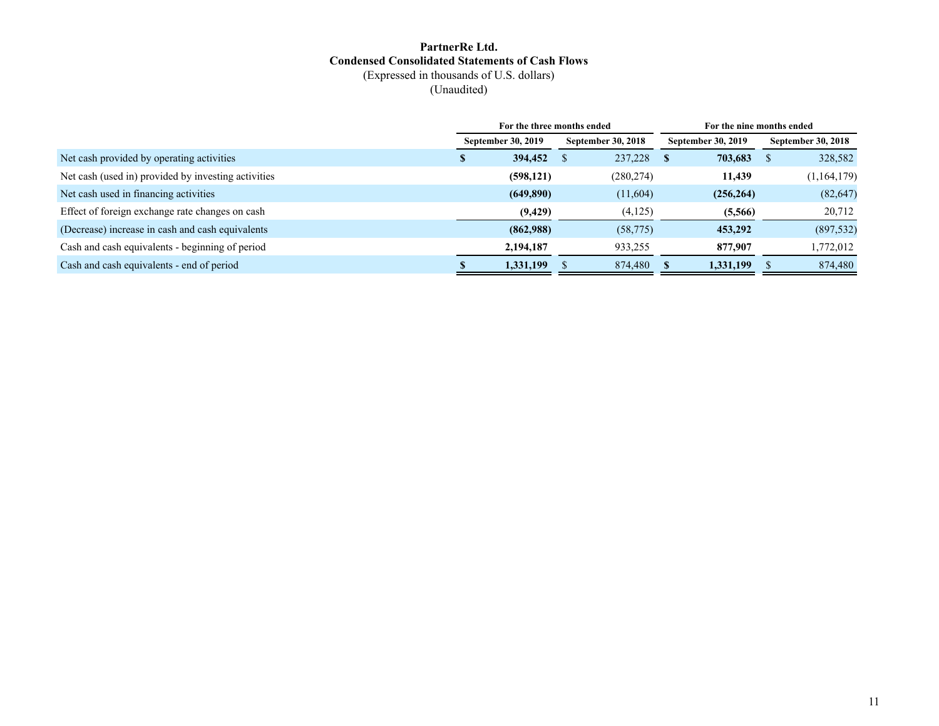### **PartnerRe Ltd. Condensed Consolidated Statements of Cash Flows** (Expressed in thousands of U.S. dollars) (Unaudited)

|                                                     | For the three months ended |                           | For the nine months ended |                           |  |                           |  |  |
|-----------------------------------------------------|----------------------------|---------------------------|---------------------------|---------------------------|--|---------------------------|--|--|
|                                                     | <b>September 30, 2019</b>  | <b>September 30, 2018</b> |                           | <b>September 30, 2019</b> |  | <b>September 30, 2018</b> |  |  |
| Net cash provided by operating activities           | 394,452                    | 237,228                   | <b>S</b>                  | 703,683                   |  | 328,582                   |  |  |
| Net cash (used in) provided by investing activities | (598, 121)                 | (280, 274)                |                           | 11,439                    |  | (1, 164, 179)             |  |  |
| Net cash used in financing activities               | (649,890)                  | (11,604)                  |                           | (256, 264)                |  | (82, 647)                 |  |  |
| Effect of foreign exchange rate changes on cash     | (9, 429)                   | (4,125)                   |                           | (5,566)                   |  | 20,712                    |  |  |
| (Decrease) increase in cash and cash equivalents    | (862,988)                  | (58, 775)                 |                           | 453,292                   |  | (897, 532)                |  |  |
| Cash and cash equivalents - beginning of period     | 2,194,187                  | 933,255                   |                           | 877,907                   |  | 1,772,012                 |  |  |
| Cash and cash equivalents - end of period           | 1,331,199                  | 874,480                   |                           | 1,331,199                 |  | 874,480                   |  |  |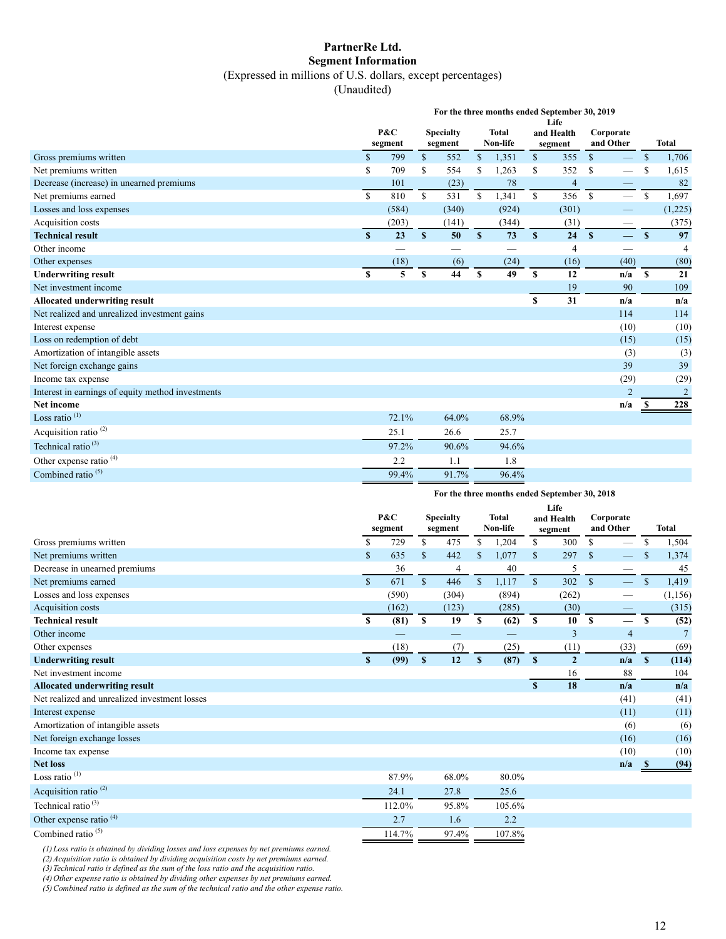### **PartnerRe Ltd. Segment Information** (Expressed in millions of U.S. dollars, except percentages)

(Unaudited)

|                                                   | For the three months ended September 30, 2019<br>Life |                |              |                             |                  |                          |              |                       |                        |                   |               |                         |  |  |
|---------------------------------------------------|-------------------------------------------------------|----------------|--------------|-----------------------------|------------------|--------------------------|--------------|-----------------------|------------------------|-------------------|---------------|-------------------------|--|--|
|                                                   |                                                       | P&C<br>segment |              | <b>Specialty</b><br>segment |                  | <b>Total</b><br>Non-life |              | and Health<br>segment | Corporate<br>and Other |                   |               | <b>Total</b>            |  |  |
| Gross premiums written                            | $\mathcal{S}$                                         | 799            | $\mathbb{S}$ | 552                         | $\mathbb{S}$     | 1,351                    | $\mathbb{S}$ | 355                   | $\mathbb{S}$           |                   | $\mathcal{S}$ | 1,706                   |  |  |
| Net premiums written                              | \$                                                    | 709            | \$.          | 554                         | S                | 1,263                    | \$.          | 352                   | \$                     |                   | <sup>\$</sup> | 1,615                   |  |  |
| Decrease (increase) in unearned premiums          |                                                       | 101            |              | (23)                        |                  | 78                       |              | $\overline{4}$        |                        |                   |               | 82                      |  |  |
| Net premiums earned                               | $\mathbf S$                                           | 810            | S.           | 531                         | \$               | 1,341                    | \$           | 356                   | $\mathbf S$            |                   | \$            | 1,697                   |  |  |
| Losses and loss expenses                          |                                                       | (584)          |              | (340)                       |                  | (924)                    |              | (301)                 |                        |                   |               | (1,225)                 |  |  |
| Acquisition costs                                 |                                                       | (203)          |              | (141)                       |                  | (344)                    |              | (31)                  |                        |                   |               | (375)                   |  |  |
| <b>Technical result</b>                           | $\mathbf{s}$                                          | 23             | $\mathbf{s}$ | 50                          | $\mathbf{s}$     | 73                       | S            | 24                    | $\mathbf{s}$           | $\qquad \qquad -$ | $\mathbf{s}$  | 97                      |  |  |
| Other income                                      |                                                       |                |              |                             |                  |                          |              | $\overline{4}$        |                        |                   |               | 4                       |  |  |
| Other expenses                                    |                                                       | (18)           |              | (6)                         |                  | (24)                     |              | (16)                  |                        | (40)              |               | (80)                    |  |  |
| <b>Underwriting result</b>                        | \$                                                    | 5              | <b>S</b>     | 44                          | $\boldsymbol{s}$ | 49                       | \$           | 12                    |                        | n/a               | $\mathbf{s}$  | 21                      |  |  |
| Net investment income                             |                                                       |                |              |                             |                  |                          |              | 19                    |                        | 90                |               | 109                     |  |  |
| <b>Allocated underwriting result</b>              |                                                       |                |              |                             |                  |                          | $\mathbf{s}$ | 31                    |                        | n/a               |               | n/a                     |  |  |
| Net realized and unrealized investment gains      |                                                       |                |              |                             |                  |                          |              |                       |                        | 114               |               | 114                     |  |  |
| Interest expense                                  |                                                       |                |              |                             |                  |                          |              |                       |                        | (10)              |               | (10)                    |  |  |
| Loss on redemption of debt                        |                                                       |                |              |                             |                  |                          |              |                       |                        | (15)              |               | (15)                    |  |  |
| Amortization of intangible assets                 |                                                       |                |              |                             |                  |                          |              |                       |                        | (3)               |               | (3)                     |  |  |
| Net foreign exchange gains                        |                                                       |                |              |                             |                  |                          |              |                       |                        | 39                |               | 39                      |  |  |
| Income tax expense                                |                                                       |                |              |                             |                  |                          |              |                       |                        | (29)              |               | (29)                    |  |  |
| Interest in earnings of equity method investments |                                                       |                |              |                             |                  |                          |              |                       |                        | $\overline{2}$    |               | $\overline{\mathbf{c}}$ |  |  |
| <b>Net income</b>                                 |                                                       |                |              |                             |                  |                          |              |                       |                        | n/a               |               | 228                     |  |  |
| Loss ratio <sup>(1)</sup>                         |                                                       | 72.1%          |              | 64.0%                       |                  | 68.9%                    |              |                       |                        |                   |               |                         |  |  |
| Acquisition ratio <sup>(2)</sup>                  |                                                       | 25.1           |              | 26.6                        |                  | 25.7                     |              |                       |                        |                   |               |                         |  |  |
| Technical ratio $(3)$                             |                                                       | 97.2%          |              | 90.6%                       |                  | 94.6%                    |              |                       |                        |                   |               |                         |  |  |
| Other expense ratio <sup>(4)</sup>                |                                                       | 2.2            |              | 1.1                         |                  | 1.8                      |              |                       |                        |                   |               |                         |  |  |
| Combined ratio <sup>(5)</sup>                     |                                                       | 99.4%          |              | 91.7%                       |                  | 96.4%                    |              |                       |                        |                   |               |                         |  |  |

#### **For the three months ended September 30, 2018**

|                                               | P&C<br><b>Total</b><br><b>Specialty</b><br>Non-life<br>segment<br>segment |        | Life<br>Corporate<br>and Health<br>and Other<br>segment |       |              |        | <b>Total</b>  |                |               |                          |               |                |
|-----------------------------------------------|---------------------------------------------------------------------------|--------|---------------------------------------------------------|-------|--------------|--------|---------------|----------------|---------------|--------------------------|---------------|----------------|
| Gross premiums written                        | \$                                                                        | 729    | \$                                                      | 475   | S            | 1,204  | \$            | 300            | \$            | $\overline{\phantom{0}}$ | \$            | 1,504          |
| Net premiums written                          | \$                                                                        | 635    | \$                                                      | 442   |              | 1,077  | \$            | 297            | <sup>\$</sup> |                          | <sup>\$</sup> | 1,374          |
| Decrease in unearned premiums                 |                                                                           | 36     |                                                         | 4     |              | 40     |               | 5              |               |                          |               | 45             |
| Net premiums earned                           | $\mathbb{S}$                                                              | 671    | $\mathbb{S}$                                            | 446   | $\mathbf{s}$ | 1,117  | $\mathbb{S}$  | 302            | $\mathbf S$   | $\overline{\phantom{0}}$ | $\mathbb{S}$  | 1,419          |
| Losses and loss expenses                      |                                                                           | (590)  |                                                         | (304) |              | (894)  |               | (262)          |               |                          |               | (1, 156)       |
| Acquisition costs                             |                                                                           | (162)  |                                                         | (123) |              | (285)  |               | (30)           |               |                          |               | (315)          |
| <b>Technical result</b>                       | \$                                                                        | (81)   | \$                                                      | 19    | \$           | (62)   | <sup>\$</sup> | 10             | <sup>\$</sup> |                          | <sup>S</sup>  | (52)           |
| Other income                                  |                                                                           |        |                                                         |       |              |        |               | 3              |               | $\overline{4}$           |               | $\overline{7}$ |
| Other expenses                                |                                                                           | (18)   |                                                         | (7)   |              | (25)   |               | (11)           |               | (33)                     |               | (69)           |
| <b>Underwriting result</b>                    | S                                                                         | (99)   | $\mathbf{s}$                                            | 12    | $\mathbf{s}$ | (87)   | $\mathbf{s}$  | $\overline{2}$ |               | n/a                      | <b>S</b>      | (114)          |
| Net investment income                         |                                                                           |        |                                                         |       |              |        |               | 16             |               | 88                       |               | 104            |
| <b>Allocated underwriting result</b>          |                                                                           |        |                                                         |       |              |        | S             | 18             |               | n/a                      |               | n/a            |
| Net realized and unrealized investment losses |                                                                           |        |                                                         |       |              |        |               |                |               | (41)                     |               | (41)           |
| Interest expense                              |                                                                           |        |                                                         |       |              |        |               |                |               | (11)                     |               | (11)           |
| Amortization of intangible assets             |                                                                           |        |                                                         |       |              |        |               |                |               | (6)                      |               | (6)            |
| Net foreign exchange losses                   |                                                                           |        |                                                         |       |              |        |               |                |               | (16)                     |               | (16)           |
| Income tax expense                            |                                                                           |        |                                                         |       |              |        |               |                |               | (10)                     |               | (10)           |
| <b>Net loss</b>                               |                                                                           |        |                                                         |       |              |        |               |                |               | n/a                      | - 56          | (94)           |
| Loss ratio $(1)$                              |                                                                           | 87.9%  |                                                         | 68.0% |              | 80.0%  |               |                |               |                          |               |                |
| Acquisition ratio <sup>(2)</sup>              |                                                                           | 24.1   |                                                         | 27.8  |              | 25.6   |               |                |               |                          |               |                |
| Technical ratio <sup>(3)</sup>                |                                                                           | 112.0% |                                                         | 95.8% |              | 105.6% |               |                |               |                          |               |                |
| Other expense ratio <sup>(4)</sup>            |                                                                           | 2.7    |                                                         | 1.6   |              | 2.2    |               |                |               |                          |               |                |
| Combined ratio $(5)$                          |                                                                           | 114.7% |                                                         | 97.4% |              | 107.8% |               |                |               |                          |               |                |

*(1)Loss ratio is obtained by dividing losses and loss expenses by net premiums earned.* 

*(2)Acquisition ratio is obtained by dividing acquisition costs by net premiums earned.* 

*(3)Technical ratio is defined as the sum of the loss ratio and the acquisition ratio.* 

*(4)Other expense ratio is obtained by dividing other expenses by net premiums earned.* 

*(5)Combined ratio is defined as the sum of the technical ratio and the other expense ratio.*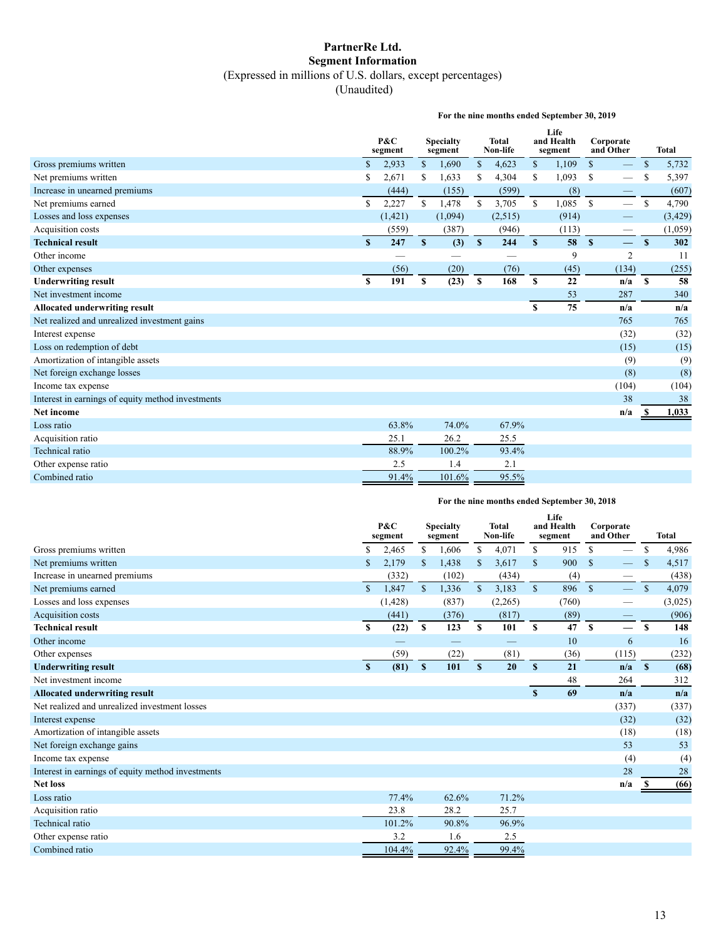## **PartnerRe Ltd. Segment Information**  (Expressed in millions of U.S. dollars, except percentages)

(Unaudited)

**For the nine months ended September 30, 2019**

|                                                   |             | P&C<br>segment |              | <b>Specialty</b><br>segment |               | <b>Total</b><br>Non-life |              | Life<br>and Health<br>segment |               | Corporate<br>and Other |               | <b>Total</b> |
|---------------------------------------------------|-------------|----------------|--------------|-----------------------------|---------------|--------------------------|--------------|-------------------------------|---------------|------------------------|---------------|--------------|
| Gross premiums written                            | $\mathbf S$ | 2,933          | $\mathbb{S}$ | 1,690                       | $\mathbb{S}$  | 4,623                    | $\mathbb{S}$ | 1,109                         | $\mathbb{S}$  |                        | \$            | 5,732        |
| Net premiums written                              | Ŝ           | 2,671          | \$           | 1,633                       | S             | 4,304                    | \$           | 1,093                         | <sup>\$</sup> |                        | S             | 5,397        |
| Increase in unearned premiums                     |             | (444)          |              | (155)                       |               | (599)                    |              | (8)                           |               |                        |               | (607)        |
| Net premiums earned                               | \$          | 2,227          | \$           | 1,478                       | <sup>\$</sup> | 3,705                    | \$           | 1,085                         | $\mathbf S$   |                        | $\mathcal{S}$ | 4,790        |
| Losses and loss expenses                          |             | (1, 421)       |              | (1,094)                     |               | (2,515)                  |              | (914)                         |               |                        |               | (3, 429)     |
| Acquisition costs                                 |             | (559)          |              | (387)                       |               | (946)                    |              | (113)                         |               |                        |               | (1,059)      |
| <b>Technical result</b>                           | S           | 247            | $\mathbf{s}$ | (3)                         | $\mathbf{s}$  | 244                      | $\mathbf{s}$ | 58                            | $\mathbf{s}$  | $\qquad \qquad -$      | $\mathbf{s}$  | 302          |
| Other income                                      |             |                |              |                             |               |                          |              | 9                             |               | $\overline{2}$         |               | 11           |
| Other expenses                                    |             | (56)           |              | (20)                        |               | (76)                     |              | (45)                          |               | (134)                  |               | (255)        |
| <b>Underwriting result</b>                        | \$          | 191            | \$           | (23)                        | \$            | 168                      | $\mathbf S$  | 22                            |               | n/a                    | $\mathbf{s}$  | 58           |
| Net investment income                             |             |                |              |                             |               |                          |              | 53                            |               | 287                    |               | 340          |
| <b>Allocated underwriting result</b>              |             |                |              |                             |               |                          | S            | 75                            |               | n/a                    |               | n/a          |
| Net realized and unrealized investment gains      |             |                |              |                             |               |                          |              |                               |               | 765                    |               | 765          |
| Interest expense                                  |             |                |              |                             |               |                          |              |                               |               | (32)                   |               | (32)         |
| Loss on redemption of debt                        |             |                |              |                             |               |                          |              |                               |               | (15)                   |               | (15)         |
| Amortization of intangible assets                 |             |                |              |                             |               |                          |              |                               |               | (9)                    |               | (9)          |
| Net foreign exchange losses                       |             |                |              |                             |               |                          |              |                               |               | (8)                    |               | (8)          |
| Income tax expense                                |             |                |              |                             |               |                          |              |                               |               | (104)                  |               | (104)        |
| Interest in earnings of equity method investments |             |                |              |                             |               |                          |              |                               |               | 38                     |               | 38           |
| <b>Net income</b>                                 |             |                |              |                             |               |                          |              |                               |               | n/a                    |               | 1,033        |
| Loss ratio                                        |             | 63.8%          |              | 74.0%                       |               | 67.9%                    |              |                               |               |                        |               |              |
| Acquisition ratio                                 |             | 25.1           |              | 26.2                        |               | 25.5                     |              |                               |               |                        |               |              |
| Technical ratio                                   |             | 88.9%          |              | 100.2%                      |               | 93.4%                    |              |                               |               |                        |               |              |
| Other expense ratio                               |             | 2.5            |              | 1.4                         |               | 2.1                      |              |                               |               |                        |               |              |
| Combined ratio                                    |             | 91.4%          |              | 101.6%                      |               | 95.5%                    |              |                               |               |                        |               |              |

#### **For the nine months ended September 30, 2018**

|                                                   | Life<br>and Health<br>P&C<br><b>Total</b><br><b>Specialty</b><br>Non-life<br>segment<br>segment<br>segment |          |              | Corporate<br>and Other |               | <b>Total</b> |              |       |               |                          |               |         |
|---------------------------------------------------|------------------------------------------------------------------------------------------------------------|----------|--------------|------------------------|---------------|--------------|--------------|-------|---------------|--------------------------|---------------|---------|
| Gross premiums written                            | \$                                                                                                         | 2,465    | \$           | 1,606                  | \$            | 4,071        | \$           | 915   | S             |                          | \$            | 4,986   |
| Net premiums written                              |                                                                                                            | 2,179    | $\mathbb{S}$ | 1,438                  | <sup>\$</sup> | 3,617        | \$           | 900   | <sup>\$</sup> |                          |               | 4,517   |
| Increase in unearned premiums                     |                                                                                                            | (332)    |              | (102)                  |               | (434)        |              | (4)   |               | -                        |               | (438)   |
| Net premiums earned                               | $\mathbb{S}$                                                                                               | 1,847    | $\mathbb{S}$ | 1,336                  | $\mathcal{S}$ | 3,183        | $\mathbb{S}$ | 896   | $\mathbf S$   |                          | $\mathcal{S}$ | 4,079   |
| Losses and loss expenses                          |                                                                                                            | (1, 428) |              | (837)                  |               | (2,265)      |              | (760) |               |                          |               | (3,025) |
| Acquisition costs                                 |                                                                                                            | (441)    |              | (376)                  |               | (817)        |              | (89)  |               |                          |               | (906)   |
| <b>Technical result</b>                           | S                                                                                                          | (22)     | \$           | 123                    | <sup>\$</sup> | 101          | S.           | 47    | $\mathbf{s}$  | $\overline{\phantom{0}}$ | $\mathbf{s}$  | 148     |
| Other income                                      |                                                                                                            |          |              |                        |               |              |              | 10    |               | 6                        |               | 16      |
| Other expenses                                    |                                                                                                            | (59)     |              | (22)                   |               | (81)         |              | (36)  |               | (115)                    |               | (232)   |
| <b>Underwriting result</b>                        | $\mathbf{s}$                                                                                               | (81)     | $\mathbf{s}$ | 101                    | $\mathbf{s}$  | 20           | $\mathbf{s}$ | 21    |               | n/a                      | <b>S</b>      | (68)    |
| Net investment income                             |                                                                                                            |          |              |                        |               |              |              | 48    |               | 264                      |               | 312     |
| <b>Allocated underwriting result</b>              |                                                                                                            |          |              |                        |               |              | S            | 69    |               | n/a                      |               | n/a     |
| Net realized and unrealized investment losses     |                                                                                                            |          |              |                        |               |              |              |       |               | (337)                    |               | (337)   |
| Interest expense                                  |                                                                                                            |          |              |                        |               |              |              |       |               | (32)                     |               | (32)    |
| Amortization of intangible assets                 |                                                                                                            |          |              |                        |               |              |              |       |               | (18)                     |               | (18)    |
| Net foreign exchange gains                        |                                                                                                            |          |              |                        |               |              |              |       |               | 53                       |               | 53      |
| Income tax expense                                |                                                                                                            |          |              |                        |               |              |              |       |               | (4)                      |               | (4)     |
| Interest in earnings of equity method investments |                                                                                                            |          |              |                        |               |              |              |       |               | 28                       |               | 28      |
| <b>Net loss</b>                                   |                                                                                                            |          |              |                        |               |              |              |       |               | n/a                      | -S            | (66)    |
| Loss ratio                                        |                                                                                                            | 77.4%    |              | 62.6%                  |               | 71.2%        |              |       |               |                          |               |         |
| Acquisition ratio                                 |                                                                                                            | 23.8     |              | 28.2                   |               | 25.7         |              |       |               |                          |               |         |
| Technical ratio                                   |                                                                                                            | 101.2%   |              | 90.8%                  |               | 96.9%        |              |       |               |                          |               |         |
| Other expense ratio                               |                                                                                                            | 3.2      |              | 1.6                    |               | 2.5          |              |       |               |                          |               |         |
| Combined ratio                                    |                                                                                                            | 104.4%   |              | 92.4%                  |               | 99.4%        |              |       |               |                          |               |         |
|                                                   |                                                                                                            |          |              |                        |               |              |              |       |               |                          |               |         |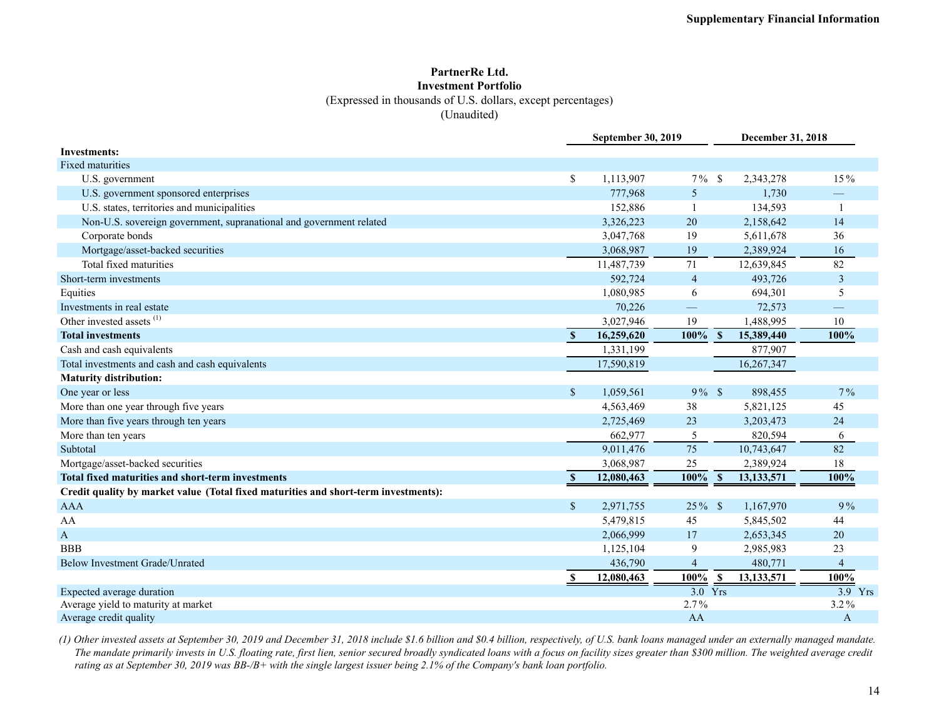### **PartnerRe Ltd. Investment Portfolio** (Expressed in thousands of U.S. dollars, except percentages) (Unaudited)

|                                                                                     |               | <b>September 30, 2019</b> |                                   | December 31, 2018          |                      |
|-------------------------------------------------------------------------------------|---------------|---------------------------|-----------------------------------|----------------------------|----------------------|
| <b>Investments:</b>                                                                 |               |                           |                                   |                            |                      |
| <b>Fixed maturities</b>                                                             |               |                           |                                   |                            |                      |
| U.S. government                                                                     | \$            | 1,113,907                 | $7\%$                             | -S<br>2,343,278            | 15%                  |
| U.S. government sponsored enterprises                                               |               | 777,968                   | 5                                 | 1,730                      |                      |
| U.S. states, territories and municipalities                                         |               | 152,886                   |                                   | 134,593                    | $\overline{1}$       |
| Non-U.S. sovereign government, supranational and government related                 |               | 3,326,223                 | 20                                | 2,158,642                  | 14                   |
| Corporate bonds                                                                     |               | 3,047,768                 | 19                                | 5,611,678                  | 36                   |
| Mortgage/asset-backed securities                                                    |               | 3,068,987                 | 19                                | 2,389,924                  | 16                   |
| Total fixed maturities                                                              |               | 11,487,739                | 71                                | 12,639,845                 | 82                   |
| Short-term investments                                                              |               | 592,724                   | $\overline{4}$                    | 493,726                    | $\overline{3}$       |
| Equities                                                                            |               | 1,080,985                 | 6                                 | 694,301                    | 5                    |
| Investments in real estate                                                          |               | 70,226                    |                                   | 72,573                     |                      |
| Other invested assets <sup>(1)</sup>                                                |               | 3,027,946                 | 19                                | 1,488,995                  | 10                   |
| <b>Total investments</b>                                                            | $\mathbf{s}$  | 16,259,620                | 100%                              | $\mathbf{s}$<br>15,389,440 | 100%                 |
| Cash and cash equivalents                                                           |               | 1,331,199                 |                                   | 877,907                    |                      |
| Total investments and cash and cash equivalents                                     |               | 17,590,819                |                                   | 16,267,347                 |                      |
| <b>Maturity distribution:</b>                                                       |               |                           |                                   |                            |                      |
| One year or less                                                                    | \$            | 1,059,561                 | $9\%$ \$                          | 898,455                    | $7\%$                |
| More than one year through five years                                               |               | 4,563,469                 | 38                                | 5,821,125                  | 45                   |
| More than five years through ten years                                              |               | 2,725,469                 | 23                                | 3,203,473                  | 24                   |
| More than ten years                                                                 |               | 662,977                   | 5                                 | 820,594                    | 6                    |
| Subtotal                                                                            |               | 9,011,476                 | 75                                | 10,743,647                 | 82                   |
| Mortgage/asset-backed securities                                                    |               | 3,068,987                 | 25                                | 2,389,924                  | 18                   |
| Total fixed maturities and short-term investments                                   | $\mathbf{s}$  | 12,080,463                | 100%                              | $\mathbf{s}$<br>13,133,571 | 100%                 |
| Credit quality by market value (Total fixed maturities and short-term investments): |               |                           |                                   |                            |                      |
| <b>AAA</b>                                                                          | $\mathsf{\$}$ | 2,971,755                 | $25\%$ \$                         | 1,167,970                  | 9%                   |
| AA                                                                                  |               | 5,479,815                 | 45                                | 5,845,502                  | 44                   |
| A                                                                                   |               | 2,066,999                 | 17                                | 2,653,345                  | 20                   |
| <b>BBB</b>                                                                          |               | 1,125,104                 | 9                                 | 2,985,983                  | 23                   |
| Below Investment Grade/Unrated                                                      |               | 436,790                   | 4                                 | 480,771                    | $\overline{4}$       |
|                                                                                     |               | 12,080,463                | 100%                              | 13,133,571                 | 100%                 |
| Expected average duration                                                           |               |                           | $\frac{90\%}{3.0} \frac{\$}{Yrs}$ |                            | $\overline{3.9}$ Yrs |
| Average yield to maturity at market                                                 |               |                           | 2.7%                              |                            | $3.2\%$              |
| Average credit quality                                                              |               |                           | AA                                |                            | A                    |

*(1) Other invested assets at September 30, 2019 and December 31, 2018 include \$1.6 billion and \$0.4 billion, respectively, of U.S. bank loans managed under an externally managed mandate. The mandate primarily invests in U.S. floating rate, first lien, senior secured broadly syndicated loans with a focus on facility sizes greater than \$300 million. The weighted average credit rating as at September 30, 2019 was BB-/B+ with the single largest issuer being 2.1% of the Company's bank loan portfolio.*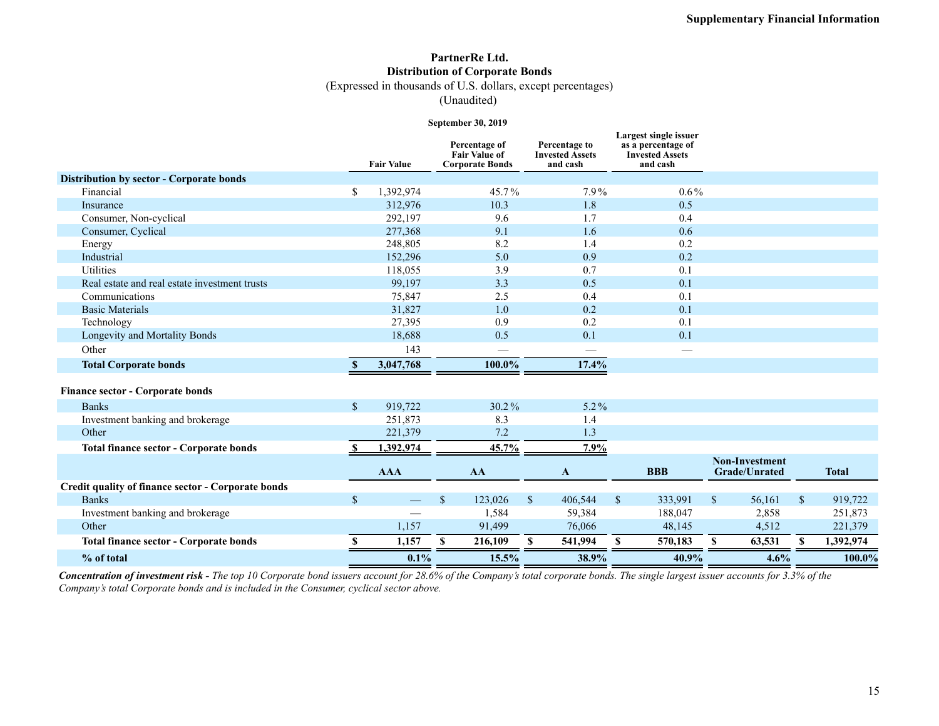## **PartnerRe Ltd. Distribution of Corporate Bonds**

(Expressed in thousands of U.S. dollars, except percentages)

(Unaudited)

#### **September 30, 2019**

|                                                    |               | <b>Fair Value</b> | Percentage of<br><b>Fair Value of</b><br><b>Corporate Bonds</b> | Percentage to<br><b>Invested Assets</b><br>and cash | Largest single issuer<br>as a percentage of<br><b>Invested Assets</b><br>and cash |                                               |              |              |
|----------------------------------------------------|---------------|-------------------|-----------------------------------------------------------------|-----------------------------------------------------|-----------------------------------------------------------------------------------|-----------------------------------------------|--------------|--------------|
| Distribution by sector - Corporate bonds           |               |                   |                                                                 |                                                     |                                                                                   |                                               |              |              |
| Financial                                          | $\mathbf S$   | 1,392,974         | 45.7%                                                           | 7.9%                                                | $0.6\%$                                                                           |                                               |              |              |
| Insurance                                          |               | 312,976           | 10.3                                                            | 1.8                                                 | 0.5                                                                               |                                               |              |              |
| Consumer, Non-cyclical                             |               | 292,197           | 9.6                                                             | 1.7                                                 | 0.4                                                                               |                                               |              |              |
| Consumer, Cyclical                                 |               | 277,368           | 9.1                                                             | 1.6                                                 | 0.6                                                                               |                                               |              |              |
| Energy                                             |               | 248,805           | 8.2                                                             | 1.4                                                 | 0.2                                                                               |                                               |              |              |
| Industrial                                         |               | 152,296           | 5.0                                                             | 0.9                                                 | 0.2                                                                               |                                               |              |              |
| Utilities                                          |               | 118,055           | 3.9                                                             | 0.7                                                 | 0.1                                                                               |                                               |              |              |
| Real estate and real estate investment trusts      |               | 99,197            | 3.3                                                             | 0.5                                                 | 0.1                                                                               |                                               |              |              |
| Communications                                     |               | 75,847            | 2.5                                                             | 0.4                                                 | 0.1                                                                               |                                               |              |              |
| <b>Basic Materials</b>                             |               | 31,827            | 1.0                                                             | 0.2                                                 | 0.1                                                                               |                                               |              |              |
| Technology                                         |               | 27,395            | 0.9                                                             | 0.2                                                 | 0.1                                                                               |                                               |              |              |
| Longevity and Mortality Bonds                      |               | 18,688            | 0.5                                                             | 0.1                                                 | 0.1                                                                               |                                               |              |              |
| Other                                              |               | 143               |                                                                 |                                                     |                                                                                   |                                               |              |              |
| <b>Total Corporate bonds</b>                       | <sup>\$</sup> | 3,047,768         | 100.0%                                                          | 17.4%                                               |                                                                                   |                                               |              |              |
| <b>Finance sector - Corporate bonds</b>            |               |                   |                                                                 |                                                     |                                                                                   |                                               |              |              |
| <b>Banks</b>                                       | $\mathbb{S}$  | 919.722           | 30.2%                                                           | $5.2\%$                                             |                                                                                   |                                               |              |              |
| Investment banking and brokerage                   |               | 251,873           | 8.3                                                             | 1.4                                                 |                                                                                   |                                               |              |              |
| Other                                              |               | 221,379           | 7.2                                                             | 1.3                                                 |                                                                                   |                                               |              |              |
| <b>Total finance sector - Corporate bonds</b>      |               | 1,392,974         | 45.7%                                                           | 7.9%                                                |                                                                                   |                                               |              |              |
|                                                    |               | <b>AAA</b>        | AA                                                              | A                                                   | <b>BBB</b>                                                                        | <b>Non-Investment</b><br><b>Grade/Unrated</b> |              | <b>Total</b> |
| Credit quality of finance sector - Corporate bonds |               |                   |                                                                 |                                                     |                                                                                   |                                               |              |              |
| <b>Banks</b>                                       | $\sqrt{\ }$   |                   | $\mathbb{S}$<br>123,026                                         | $\mathbb{S}$<br>406,544                             | $\mathbb{S}$<br>333,991                                                           | $\mathbb{S}$<br>56,161                        | $\mathbb{S}$ | 919,722      |
| Investment banking and brokerage                   |               |                   | 1,584                                                           | 59,384                                              | 188,047                                                                           | 2,858                                         |              | 251,873      |
| Other                                              |               | 1,157             | 91,499                                                          | 76,066                                              | 48,145                                                                            | 4,512                                         |              | 221,379      |
| <b>Total finance sector - Corporate bonds</b>      | <b>S</b>      | 1,157             | S.<br>216,109                                                   | 541,994<br><sup>\$</sup>                            | <sup>S</sup><br>570,183                                                           | $\mathbf{s}$<br>63,531                        |              | 1,392,974    |
| % of total                                         |               | 0.1%              | 15.5%                                                           | 38.9%                                               | 40.9%                                                                             | 4.6%                                          |              | 100.0%       |

*Concentration of investment risk - The top 10 Corporate bond issuers account for 28.6% of the Company's total corporate bonds. The single largest issuer accounts for 3.3% of the Company's total Corporate bonds and is included in the Consumer, cyclical sector above.*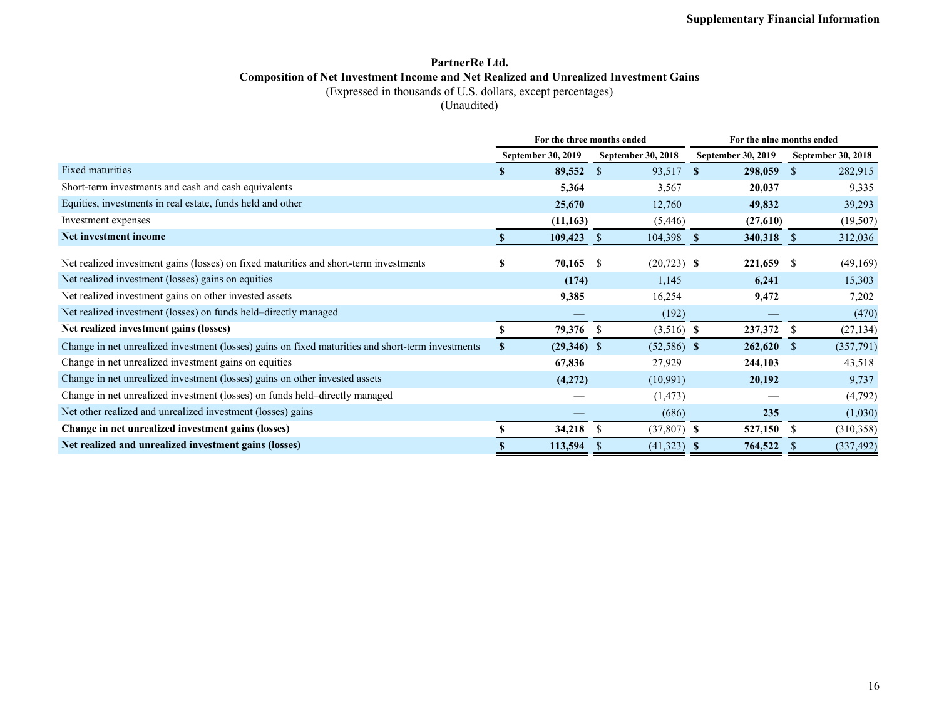### **PartnerRe Ltd. Composition of Net Investment Income and Net Realized and Unrealized Investment Gains** (Expressed in thousands of U.S. dollars, except percentages)

(Unaudited)

|                                                                                                   | For the three months ended |                    |               |                    |   | For the nine months ended |               |                    |  |  |  |  |
|---------------------------------------------------------------------------------------------------|----------------------------|--------------------|---------------|--------------------|---|---------------------------|---------------|--------------------|--|--|--|--|
|                                                                                                   |                            | September 30, 2019 |               | September 30, 2018 |   | September 30, 2019        |               | September 30, 2018 |  |  |  |  |
| <b>Fixed maturities</b>                                                                           | S.                         | 89,552             | <sup>S</sup>  | 93,517             | S | 298,059                   | <sup>\$</sup> | 282,915            |  |  |  |  |
| Short-term investments and cash and cash equivalents                                              |                            | 5,364              |               | 3,567              |   | 20,037                    |               | 9,335              |  |  |  |  |
| Equities, investments in real estate, funds held and other                                        |                            | 25,670             |               | 12,760             |   | 49,832                    |               | 39,293             |  |  |  |  |
| Investment expenses                                                                               |                            | (11, 163)          |               | (5, 446)           |   | (27,610)                  |               | (19, 507)          |  |  |  |  |
| Net investment income                                                                             |                            | 109,423            | <sup>S</sup>  | 104,398 \$         |   | 340,318                   | <sup>S</sup>  | 312,036            |  |  |  |  |
| Net realized investment gains (losses) on fixed maturities and short-term investments             | ъ                          | 70,165             | -S            | $(20,723)$ \$      |   | 221,659                   | -S            | (49,169)           |  |  |  |  |
| Net realized investment (losses) gains on equities                                                |                            | (174)              |               | 1,145              |   | 6,241                     |               | 15,303             |  |  |  |  |
| Net realized investment gains on other invested assets                                            |                            | 9,385              |               | 16,254             |   | 9,472                     |               | 7,202              |  |  |  |  |
| Net realized investment (losses) on funds held-directly managed                                   |                            |                    |               | (192)              |   |                           |               | (470)              |  |  |  |  |
| Net realized investment gains (losses)                                                            |                            | 79,376             | <sup>\$</sup> | $(3,516)$ \$       |   | 237,372                   | <sup>S</sup>  | (27, 134)          |  |  |  |  |
| Change in net unrealized investment (losses) gains on fixed maturities and short-term investments | S.                         | $(29,346)$ \$      |               | $(52,586)$ \$      |   | 262,620                   | <sup>\$</sup> | (357,791)          |  |  |  |  |
| Change in net unrealized investment gains on equities                                             |                            | 67,836             |               | 27,929             |   | 244,103                   |               | 43,518             |  |  |  |  |
| Change in net unrealized investment (losses) gains on other invested assets                       |                            | (4,272)            |               | (10,991)           |   | 20,192                    |               | 9,737              |  |  |  |  |
| Change in net unrealized investment (losses) on funds held-directly managed                       |                            |                    |               | (1, 473)           |   |                           |               | (4,792)            |  |  |  |  |
| Net other realized and unrealized investment (losses) gains                                       |                            |                    |               | (686)              |   | 235                       |               | (1,030)            |  |  |  |  |
| Change in net unrealized investment gains (losses)                                                |                            | 34,218             | <sup>\$</sup> | $(37,807)$ \$      |   | 527,150                   | <sup>\$</sup> | (310, 358)         |  |  |  |  |
| Net realized and unrealized investment gains (losses)                                             |                            | 113,594            | <sup>S</sup>  | $(41,323)$ \$      |   | 764,522                   |               | (337, 492)         |  |  |  |  |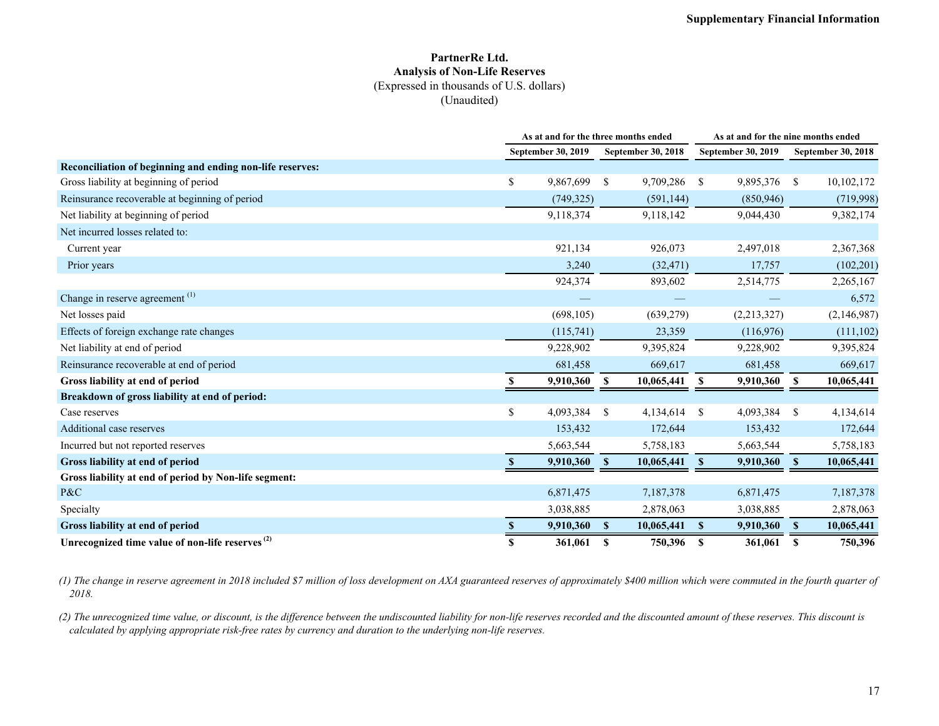#### **PartnerRe Ltd. Analysis of Non-Life Reserves** (Expressed in thousands of U.S. dollars) (Unaudited)

|                                                             |     | As at and for the three months ended |              |                    | As at and for the nine months ended |             |              |                    |  |
|-------------------------------------------------------------|-----|--------------------------------------|--------------|--------------------|-------------------------------------|-------------|--------------|--------------------|--|
|                                                             |     | September 30, 2019                   |              | September 30, 2018 | September 30, 2019                  |             |              | September 30, 2018 |  |
| Reconciliation of beginning and ending non-life reserves:   |     |                                      |              |                    |                                     |             |              |                    |  |
| Gross liability at beginning of period                      | S.  | 9,867,699                            | <sup>S</sup> | 9,709,286          | -S                                  | 9,895,376   | \$           | 10,102,172         |  |
| Reinsurance recoverable at beginning of period              |     | (749, 325)                           |              | (591, 144)         |                                     | (850, 946)  |              | (719,998)          |  |
| Net liability at beginning of period                        |     | 9,118,374                            |              | 9,118,142          |                                     | 9,044,430   |              | 9,382,174          |  |
| Net incurred losses related to:                             |     |                                      |              |                    |                                     |             |              |                    |  |
| Current year                                                |     | 921,134                              |              | 926,073            |                                     | 2,497,018   |              | 2,367,368          |  |
| Prior years                                                 |     | 3,240                                |              | (32, 471)          |                                     | 17,757      |              | (102, 201)         |  |
|                                                             |     | 924,374                              |              | 893,602            |                                     | 2,514,775   |              | 2,265,167          |  |
| Change in reserve agreement <sup>(1)</sup>                  |     |                                      |              |                    |                                     |             |              | 6,572              |  |
| Net losses paid                                             |     | (698, 105)                           |              | (639, 279)         |                                     | (2,213,327) |              | (2,146,987)        |  |
| Effects of foreign exchange rate changes                    |     | (115,741)                            |              | 23,359             |                                     | (116,976)   |              | (111, 102)         |  |
| Net liability at end of period                              |     | 9,228,902                            |              | 9,395,824          |                                     | 9,228,902   |              | 9,395,824          |  |
| Reinsurance recoverable at end of period                    |     | 681,458                              |              | 669,617            |                                     | 681,458     |              | 669,617            |  |
| Gross liability at end of period                            |     | 9,910,360 \$                         |              | 10,065,441         | -S                                  | 9,910,360   | \$           | 10,065,441         |  |
| Breakdown of gross liability at end of period:              |     |                                      |              |                    |                                     |             |              |                    |  |
| Case reserves                                               | S.  | 4,093,384 \$                         |              | 4,134,614          | -S                                  | 4,093,384   | \$           | 4,134,614          |  |
| Additional case reserves                                    |     | 153,432                              |              | 172,644            |                                     | 153,432     |              | 172,644            |  |
| Incurred but not reported reserves                          |     | 5,663,544                            |              | 5,758,183          |                                     | 5,663,544   |              | 5,758,183          |  |
| Gross liability at end of period                            |     | 9,910,360                            | <sup>S</sup> | 10,065,441         | -S                                  | 9,910,360   | <sup>S</sup> | 10,065,441         |  |
| Gross liability at end of period by Non-life segment:       |     |                                      |              |                    |                                     |             |              |                    |  |
| P&C                                                         |     | 6,871,475                            |              | 7,187,378          |                                     | 6,871,475   |              | 7,187,378          |  |
| Specialty                                                   |     | 3,038,885                            |              | 2,878,063          |                                     | 3,038,885   |              | 2,878,063          |  |
| Gross liability at end of period                            |     | 9,910,360                            | <sup>S</sup> | 10,065,441         | $\mathbf{s}$                        | 9,910,360   | $\mathbf{s}$ | 10,065,441         |  |
| Unrecognized time value of non-life reserves <sup>(2)</sup> | \$. | 361,061                              | S            | 750,396            | -S                                  | 361,061     | S            | 750,396            |  |

*(1) The change in reserve agreement in 2018 included \$7 million of loss development on AXA guaranteed reserves of approximately \$400 million which were commuted in the fourth quarter of 2018.*

*(2) The unrecognized time value, or discount, is the difference between the undiscounted liability for non-life reserves recorded and the discounted amount of these reserves. This discount is calculated by applying appropriate risk-free rates by currency and duration to the underlying non-life reserves.*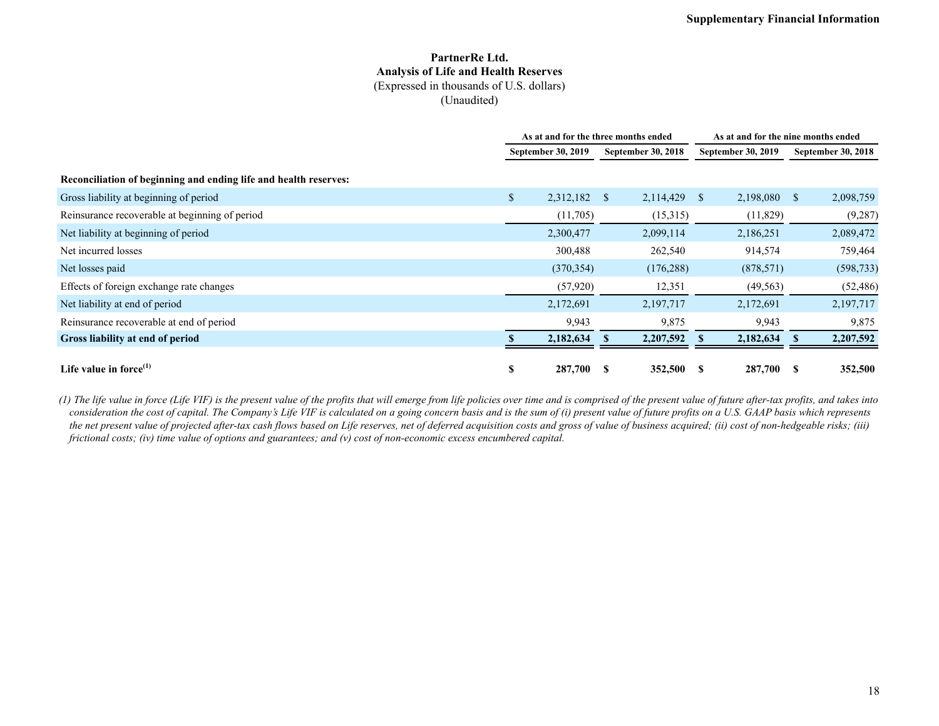#### **PartnerRe Ltd. Analysis of Life and Health Reserves** (Expressed in thousands of U.S. dollars) (Unaudited)

|                                                                  | As at and for the three months ended |            |              |                    | As at and for the nine months ended |                    |                           |            |  |
|------------------------------------------------------------------|--------------------------------------|------------|--------------|--------------------|-------------------------------------|--------------------|---------------------------|------------|--|
|                                                                  | September 30, 2019                   |            |              | September 30, 2018 |                                     | September 30, 2019 | <b>September 30, 2018</b> |            |  |
| Reconciliation of beginning and ending life and health reserves: |                                      |            |              |                    |                                     |                    |                           |            |  |
| Gross liability at beginning of period                           | \$                                   | 2,312,182  | <sup>S</sup> | 2,114,429          | -S                                  | 2,198,080          | <sup>S</sup>              | 2,098,759  |  |
| Reinsurance recoverable at beginning of period                   |                                      | (11,705)   |              | (15,315)           |                                     | (11,829)           |                           | (9, 287)   |  |
| Net liability at beginning of period                             |                                      | 2,300,477  |              | 2,099,114          |                                     | 2,186,251          |                           | 2,089,472  |  |
| Net incurred losses                                              |                                      | 300,488    |              | 262,540            |                                     | 914,574            |                           | 759,464    |  |
| Net losses paid                                                  |                                      | (370, 354) |              | (176, 288)         |                                     | (878, 571)         |                           | (598, 733) |  |
| Effects of foreign exchange rate changes                         |                                      | (57, 920)  |              | 12,351             |                                     | (49, 563)          |                           | (52, 486)  |  |
| Net liability at end of period                                   |                                      | 2,172,691  |              | 2,197,717          |                                     | 2,172,691          |                           | 2,197,717  |  |
| Reinsurance recoverable at end of period                         |                                      | 9,943      |              | 9,875              |                                     | 9,943              |                           | 9,875      |  |
| Gross liability at end of period                                 |                                      | 2,182,634  |              | 2,207,592          |                                     | 2,182,634          |                           | 2,207,592  |  |
| Life value in force $^{(1)}$                                     | S                                    | 287,700    | S            | 352,500            |                                     | 287,700            | -S                        | 352,500    |  |

*(1) The life value in force (Life VIF) is the present value of the profits that will emerge from life policies over time and is comprised of the present value of future after-tax profits, and takes into consideration the cost of capital. The Company's Life VIF is calculated on a going concern basis and is the sum of (i) present value of future profits on a U.S. GAAP basis which represents the net present value of projected after-tax cash flows based on Life reserves, net of deferred acquisition costs and gross of value of business acquired; (ii) cost of non-hedgeable risks; (iii) frictional costs; (iv) time value of options and guarantees; and (v) cost of non-economic excess encumbered capital.*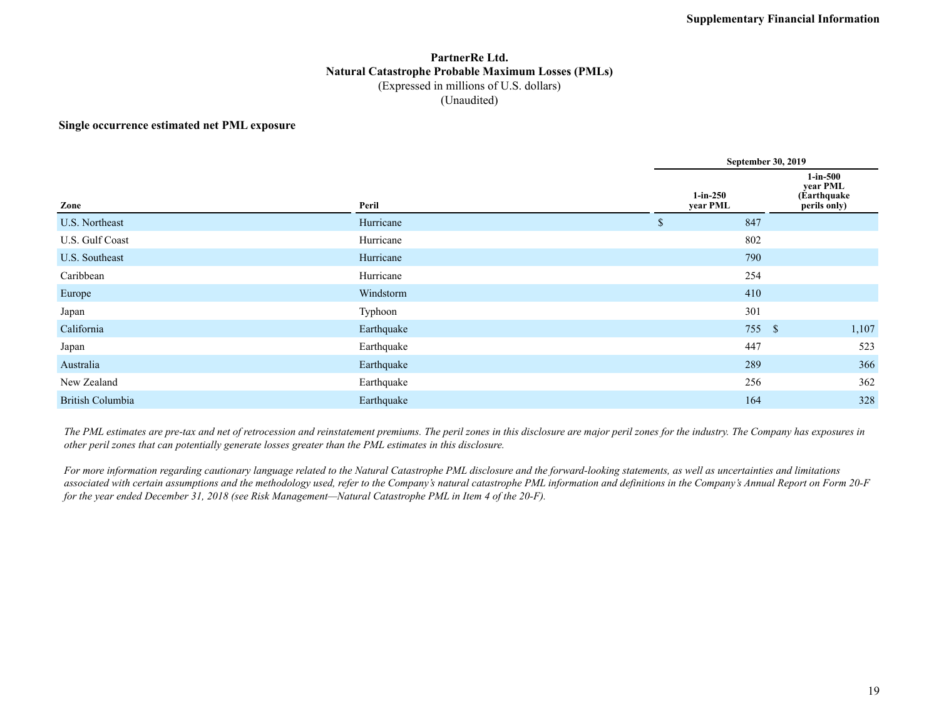### **PartnerRe Ltd. Natural Catastrophe Probable Maximum Losses (PMLs)** (Expressed in millions of U.S. dollars) (Unaudited)

#### **Single occurrence estimated net PML exposure**

|                  |            |                        | September 30, 2019 |                                                        |  |  |  |  |  |
|------------------|------------|------------------------|--------------------|--------------------------------------------------------|--|--|--|--|--|
| Zone             | Peril      | $1-in-250$<br>year PML |                    | $1$ -in-500<br>year PML<br>(Earthquake<br>perils only) |  |  |  |  |  |
| U.S. Northeast   | Hurricane  | 847<br>\$              |                    |                                                        |  |  |  |  |  |
| U.S. Gulf Coast  | Hurricane  | 802                    |                    |                                                        |  |  |  |  |  |
| U.S. Southeast   | Hurricane  |                        | 790                |                                                        |  |  |  |  |  |
| Caribbean        | Hurricane  | 254                    |                    |                                                        |  |  |  |  |  |
| Europe           | Windstorm  |                        | 410                |                                                        |  |  |  |  |  |
| Japan            | Typhoon    | 301                    |                    |                                                        |  |  |  |  |  |
| California       | Earthquake |                        | 755 \$             | 1,107                                                  |  |  |  |  |  |
| Japan            | Earthquake | 447                    |                    | 523                                                    |  |  |  |  |  |
| Australia        | Earthquake |                        | 289                | 366                                                    |  |  |  |  |  |
| New Zealand      | Earthquake |                        | 256                | 362                                                    |  |  |  |  |  |
| British Columbia | Earthquake | 164                    |                    | 328                                                    |  |  |  |  |  |

*The PML estimates are pre-tax and net of retrocession and reinstatement premiums. The peril zones in this disclosure are major peril zones for the industry. The Company has exposures in other peril zones that can potentially generate losses greater than the PML estimates in this disclosure.*

*For more information regarding cautionary language related to the Natural Catastrophe PML disclosure and the forward-looking statements, as well as uncertainties and limitations associated with certain assumptions and the methodology used, refer to the Company's natural catastrophe PML information and definitions in the Company's Annual Report on Form 20-F for the year ended December 31, 2018 (see Risk Management—Natural Catastrophe PML in Item 4 of the 20-F).*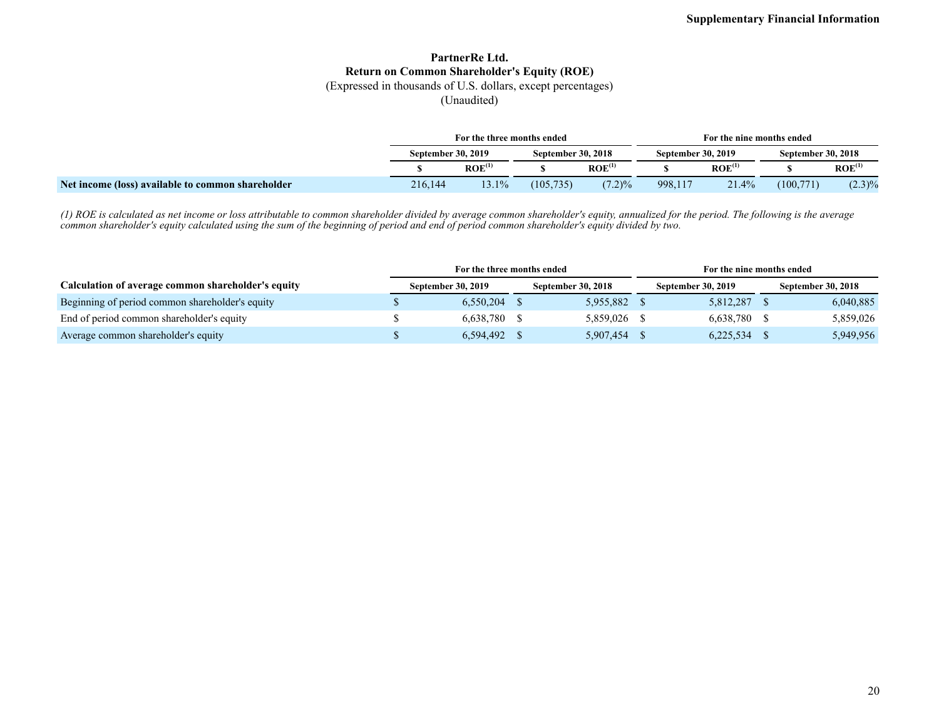### **PartnerRe Ltd. Return on Common Shareholder's Equity (ROE)**

(Expressed in thousands of U.S. dollars, except percentages)

(Unaudited)

|                                                   | For the three months ended                             |                    |            |                    | For the nine months ended |                               |            |                    |  |
|---------------------------------------------------|--------------------------------------------------------|--------------------|------------|--------------------|---------------------------|-------------------------------|------------|--------------------|--|
|                                                   | <b>September 30, 2019</b><br><b>September 30, 2018</b> |                    |            | September 30, 2019 |                           | <b>September 30, 2018</b>     |            |                    |  |
|                                                   |                                                        | ROE <sup>(1)</sup> |            | $ROE^{(1)}$        |                           | $\mathbf{ROE}^{\mathbf{(1)}}$ |            | ROE <sup>(1)</sup> |  |
| Net income (loss) available to common shareholder | 216.144                                                | 3.1%               | (105, 735) | $(7.2)\%$          | 998,117                   | 21.4%                         | (100, 771) | $(2.3)\%$          |  |

*(1) ROE is calculated as net income or loss attributable to common shareholder divided by average common shareholder's equity, annualized for the period. The following is the average common shareholder's equity calculated using the sum of the beginning of period and end of period common shareholder's equity divided by two.*

|                                                    | For the three months ended |                           |  |                           | For the nine months ended |                           |                           |           |  |
|----------------------------------------------------|----------------------------|---------------------------|--|---------------------------|---------------------------|---------------------------|---------------------------|-----------|--|
| Calculation of average common shareholder's equity |                            | <b>September 30, 2019</b> |  | <b>September 30, 2018</b> |                           | <b>September 30, 2019</b> | <b>September 30, 2018</b> |           |  |
| Beginning of period common shareholder's equity    |                            | 6.550.204                 |  | 5,955,882                 |                           | 5,812,287                 |                           | 6,040,885 |  |
| End of period common shareholder's equity          |                            | 6,638,780                 |  | 5.859.026                 |                           | 6,638,780 \$              |                           | 5,859,026 |  |
| Average common shareholder's equity                |                            | 6.594.492                 |  | 5,907,454                 |                           | $6,225,534$ \$            |                           | 5,949,956 |  |